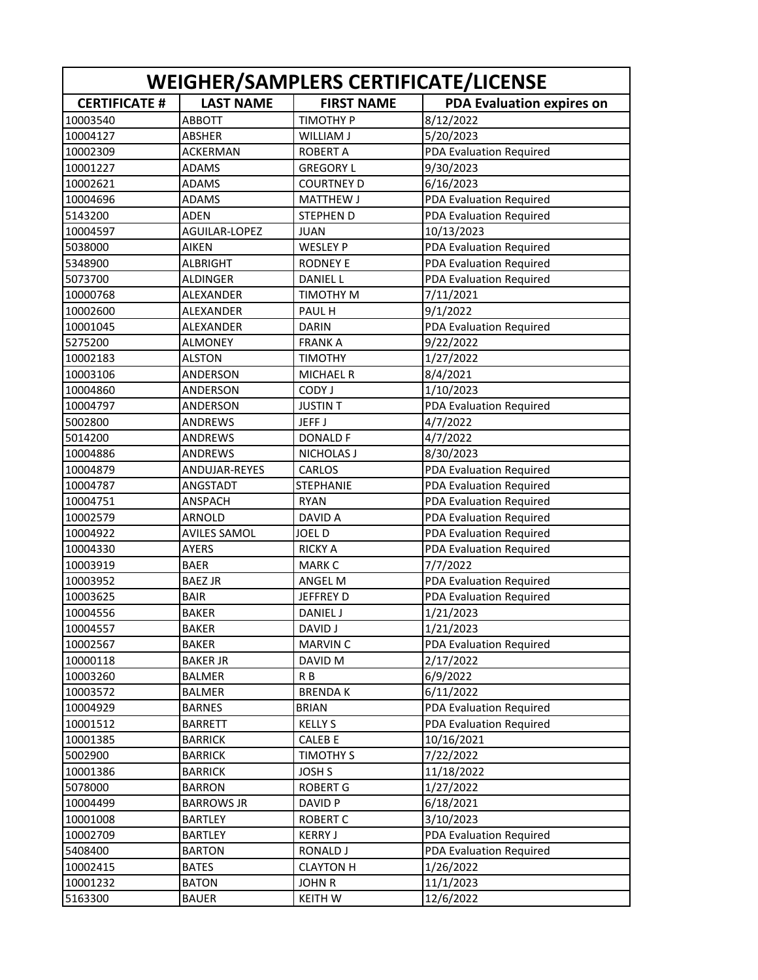| WEIGHER/SAMPLERS CERTIFICATE/LICENSE |                     |                    |                                |
|--------------------------------------|---------------------|--------------------|--------------------------------|
| <b>CERTIFICATE #</b>                 | <b>LAST NAME</b>    | <b>FIRST NAME</b>  | PDA Evaluation expires on      |
| 10003540                             | ABBOTT              | TIMOTHY P          | 8/12/2022                      |
| 10004127                             | <b>ABSHER</b>       | WILLIAM J          | 5/20/2023                      |
| 10002309                             | ACKERMAN            | <b>ROBERT A</b>    | PDA Evaluation Required        |
| 10001227                             | <b>ADAMS</b>        | <b>GREGORY L</b>   | 9/30/2023                      |
| 10002621                             | <b>ADAMS</b>        | <b>COURTNEY D</b>  | 6/16/2023                      |
| 10004696                             | <b>ADAMS</b>        | <b>MATTHEW J</b>   | <b>PDA Evaluation Required</b> |
| 5143200                              | <b>ADEN</b>         | <b>STEPHEN D</b>   | PDA Evaluation Required        |
| 10004597                             | AGUILAR-LOPEZ       | <b>JUAN</b>        | 10/13/2023                     |
| 5038000                              | <b>AIKEN</b>        | WESLEY P           | PDA Evaluation Required        |
| 5348900                              | <b>ALBRIGHT</b>     | <b>RODNEY E</b>    | PDA Evaluation Required        |
| 5073700                              | ALDINGER            | <b>DANIEL L</b>    | PDA Evaluation Required        |
| 10000768                             | ALEXANDER           | TIMOTHY M          | 7/11/2021                      |
| 10002600                             | ALEXANDER           | PAUL H             | 9/1/2022                       |
| 10001045                             | <b>ALEXANDER</b>    | <b>DARIN</b>       | PDA Evaluation Required        |
| 5275200                              | <b>ALMONEY</b>      | <b>FRANKA</b>      | 9/22/2022                      |
| 10002183                             | <b>ALSTON</b>       | <b>TIMOTHY</b>     | 1/27/2022                      |
| 10003106                             | ANDERSON            | <b>MICHAEL R</b>   | 8/4/2021                       |
| 10004860                             | ANDERSON            | CODY J             | 1/10/2023                      |
| 10004797                             | ANDERSON            | <b>JUSTIN T</b>    | PDA Evaluation Required        |
| 5002800                              | ANDREWS             | JEFF J             | 4/7/2022                       |
| 5014200                              | ANDREWS             | <b>DONALD F</b>    | 4/7/2022                       |
| 10004886                             | ANDREWS             | <b>NICHOLAS J</b>  | 8/30/2023                      |
| 10004879                             | ANDUJAR-REYES       | CARLOS             | PDA Evaluation Required        |
| 10004787                             | ANGSTADT            | <b>STEPHANIE</b>   | PDA Evaluation Required        |
| 10004751                             | ANSPACH             | <b>RYAN</b>        | PDA Evaluation Required        |
| 10002579                             | <b>ARNOLD</b>       | DAVID A            | PDA Evaluation Required        |
| 10004922                             | <b>AVILES SAMOL</b> | <b>JOELD</b>       | PDA Evaluation Required        |
| 10004330                             | <b>AYERS</b>        | <b>RICKY A</b>     | PDA Evaluation Required        |
| 10003919                             | <b>BAER</b>         | <b>MARK C</b>      | 7/7/2022                       |
| 10003952                             | <b>BAEZ JR</b>      | ANGEL M            | PDA Evaluation Required        |
| 10003625                             | <b>BAIR</b>         | JEFFREY D          | PDA Evaluation Required        |
| 10004556                             | <b>BAKER</b>        | DANIEL J           | 1/21/2023                      |
| 10004557                             | <b>BAKER</b>        | DAVID J            | 1/21/2023                      |
| 10002567                             | <b>BAKER</b>        | <b>MARVIN C</b>    | PDA Evaluation Required        |
| 10000118                             | <b>BAKER JR</b>     | DAVID M            | 2/17/2022                      |
| 10003260                             | <b>BALMER</b>       | R B                | 6/9/2022                       |
| 10003572                             | <b>BALMER</b>       | <b>BRENDAK</b>     | 6/11/2022                      |
| 10004929                             | <b>BARNES</b>       | <b>BRIAN</b>       | PDA Evaluation Required        |
| 10001512                             | <b>BARRETT</b>      | <b>KELLY S</b>     | PDA Evaluation Required        |
| 10001385                             | <b>BARRICK</b>      | CALEB E            | 10/16/2021                     |
| 5002900                              | <b>BARRICK</b>      | <b>TIMOTHY S</b>   | 7/22/2022                      |
| 10001386                             | <b>BARRICK</b>      | <b>JOSH S</b>      | 11/18/2022                     |
| 5078000                              | <b>BARRON</b>       | <b>ROBERT G</b>    | 1/27/2022                      |
| 10004499                             | <b>BARROWS JR</b>   | DAVID <sub>P</sub> | 6/18/2021                      |
| 10001008                             | <b>BARTLEY</b>      | <b>ROBERT C</b>    | 3/10/2023                      |
| 10002709                             | <b>BARTLEY</b>      | <b>KERRY J</b>     | PDA Evaluation Required        |
| 5408400                              | <b>BARTON</b>       | <b>RONALD J</b>    | PDA Evaluation Required        |
| 10002415                             | <b>BATES</b>        | <b>CLAYTON H</b>   | 1/26/2022                      |
| 10001232                             | <b>BATON</b>        | <b>JOHN R</b>      | 11/1/2023                      |
| 5163300                              | <b>BAUER</b>        | <b>KEITH W</b>     | 12/6/2022                      |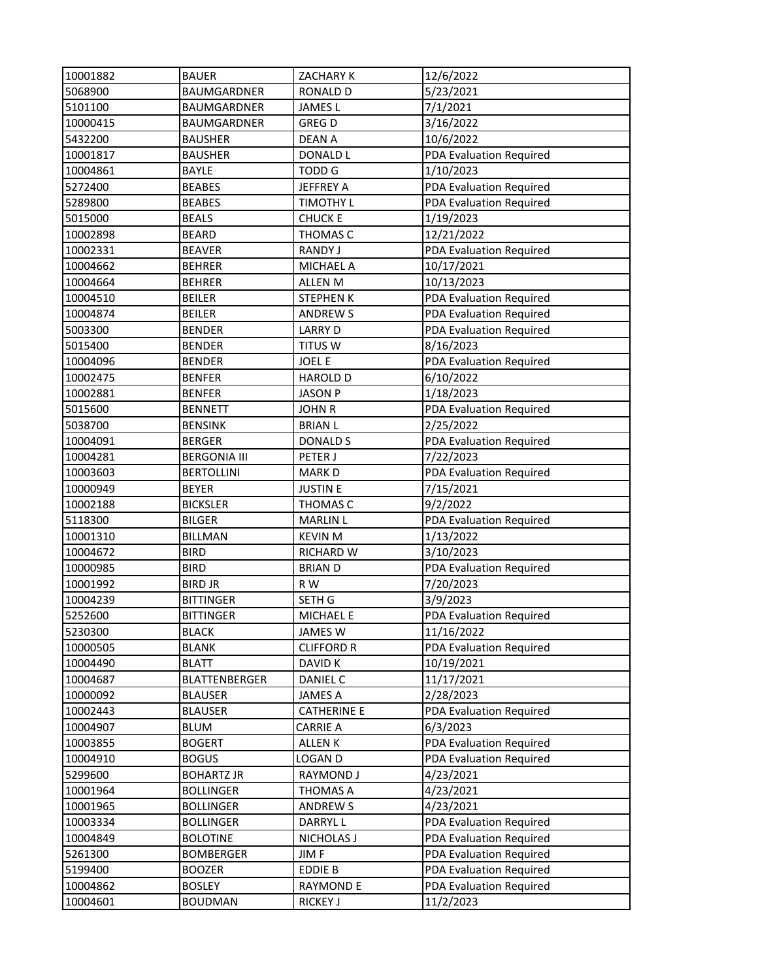| 10001882 | <b>BAUER</b>         | ZACHARY K          | 12/6/2022               |
|----------|----------------------|--------------------|-------------------------|
| 5068900  | <b>BAUMGARDNER</b>   | <b>RONALD D</b>    | 5/23/2021               |
| 5101100  | <b>BAUMGARDNER</b>   | <b>JAMES L</b>     | 7/1/2021                |
| 10000415 | BAUMGARDNER          | <b>GREGD</b>       | 3/16/2022               |
| 5432200  | <b>BAUSHER</b>       | <b>DEAN A</b>      | 10/6/2022               |
| 10001817 | <b>BAUSHER</b>       | <b>DONALD L</b>    | PDA Evaluation Required |
| 10004861 | BAYLE                | <b>TODD G</b>      | 1/10/2023               |
| 5272400  | <b>BEABES</b>        | JEFFREY A          | PDA Evaluation Required |
| 5289800  | <b>BEABES</b>        | <b>TIMOTHY L</b>   | PDA Evaluation Required |
| 5015000  | <b>BEALS</b>         | <b>CHUCK E</b>     | 1/19/2023               |
| 10002898 | <b>BEARD</b>         | THOMAS C           | 12/21/2022              |
| 10002331 | <b>BEAVER</b>        | <b>RANDY J</b>     | PDA Evaluation Required |
| 10004662 | <b>BEHRER</b>        | MICHAEL A          | 10/17/2021              |
| 10004664 | <b>BEHRER</b>        | ALLEN M            | 10/13/2023              |
| 10004510 | <b>BEILER</b>        | <b>STEPHEN K</b>   | PDA Evaluation Required |
| 10004874 | <b>BEILER</b>        | <b>ANDREWS</b>     | PDA Evaluation Required |
| 5003300  | <b>BENDER</b>        | <b>LARRY D</b>     | PDA Evaluation Required |
| 5015400  | <b>BENDER</b>        | <b>TITUS W</b>     | 8/16/2023               |
| 10004096 | <b>BENDER</b>        | <b>JOEL E</b>      | PDA Evaluation Required |
| 10002475 | <b>BENFER</b>        | <b>HAROLD D</b>    | 6/10/2022               |
| 10002881 | <b>BENFER</b>        | <b>JASON P</b>     | 1/18/2023               |
| 5015600  | <b>BENNETT</b>       | <b>JOHN R</b>      | PDA Evaluation Required |
| 5038700  | <b>BENSINK</b>       | <b>BRIAN L</b>     | 2/25/2022               |
| 10004091 | <b>BERGER</b>        | <b>DONALD S</b>    | PDA Evaluation Required |
| 10004281 | <b>BERGONIA III</b>  | PETER J            | 7/22/2023               |
| 10003603 | <b>BERTOLLINI</b>    | <b>MARKD</b>       | PDA Evaluation Required |
| 10000949 | <b>BEYER</b>         | <b>JUSTIN E</b>    | 7/15/2021               |
| 10002188 | <b>BICKSLER</b>      | THOMAS C           | 9/2/2022                |
| 5118300  | <b>BILGER</b>        | <b>MARLIN L</b>    | PDA Evaluation Required |
| 10001310 | <b>BILLMAN</b>       | <b>KEVIN M</b>     | 1/13/2022               |
| 10004672 | <b>BIRD</b>          | <b>RICHARD W</b>   | 3/10/2023               |
| 10000985 | <b>BIRD</b>          | <b>BRIAND</b>      | PDA Evaluation Required |
| 10001992 | <b>BIRD JR</b>       | R W                | 7/20/2023               |
| 10004239 | <b>BITTINGER</b>     | SETH G             | 3/9/2023                |
| 5252600  | <b>BITTINGER</b>     | MICHAEL E          | PDA Evaluation Required |
| 5230300  | <b>BLACK</b>         | JAMES W            | 11/16/2022              |
| 10000505 | <b>BLANK</b>         | <b>CLIFFORD R</b>  | PDA Evaluation Required |
| 10004490 | <b>BLATT</b>         | DAVID K            | 10/19/2021              |
| 10004687 | <b>BLATTENBERGER</b> | DANIEL C           | 11/17/2021              |
| 10000092 | <b>BLAUSER</b>       | <b>JAMES A</b>     | 2/28/2023               |
| 10002443 | <b>BLAUSER</b>       | <b>CATHERINE E</b> | PDA Evaluation Required |
| 10004907 | <b>BLUM</b>          | CARRIE A           | 6/3/2023                |
| 10003855 | <b>BOGERT</b>        | ALLEN K            | PDA Evaluation Required |
| 10004910 | <b>BOGUS</b>         | LOGAN D            | PDA Evaluation Required |
| 5299600  | <b>BOHARTZ JR</b>    | RAYMOND J          | 4/23/2021               |
| 10001964 | <b>BOLLINGER</b>     | THOMAS A           | 4/23/2021               |
| 10001965 | <b>BOLLINGER</b>     | <b>ANDREWS</b>     | 4/23/2021               |
| 10003334 | <b>BOLLINGER</b>     | <b>DARRYLL</b>     | PDA Evaluation Required |
| 10004849 | <b>BOLOTINE</b>      | <b>NICHOLAS J</b>  | PDA Evaluation Required |
| 5261300  | <b>BOMBERGER</b>     | JIM F              | PDA Evaluation Required |
| 5199400  | <b>BOOZER</b>        | <b>EDDIE B</b>     | PDA Evaluation Required |
| 10004862 | <b>BOSLEY</b>        | <b>RAYMOND E</b>   | PDA Evaluation Required |
| 10004601 | <b>BOUDMAN</b>       | RICKEY J           | 11/2/2023               |
|          |                      |                    |                         |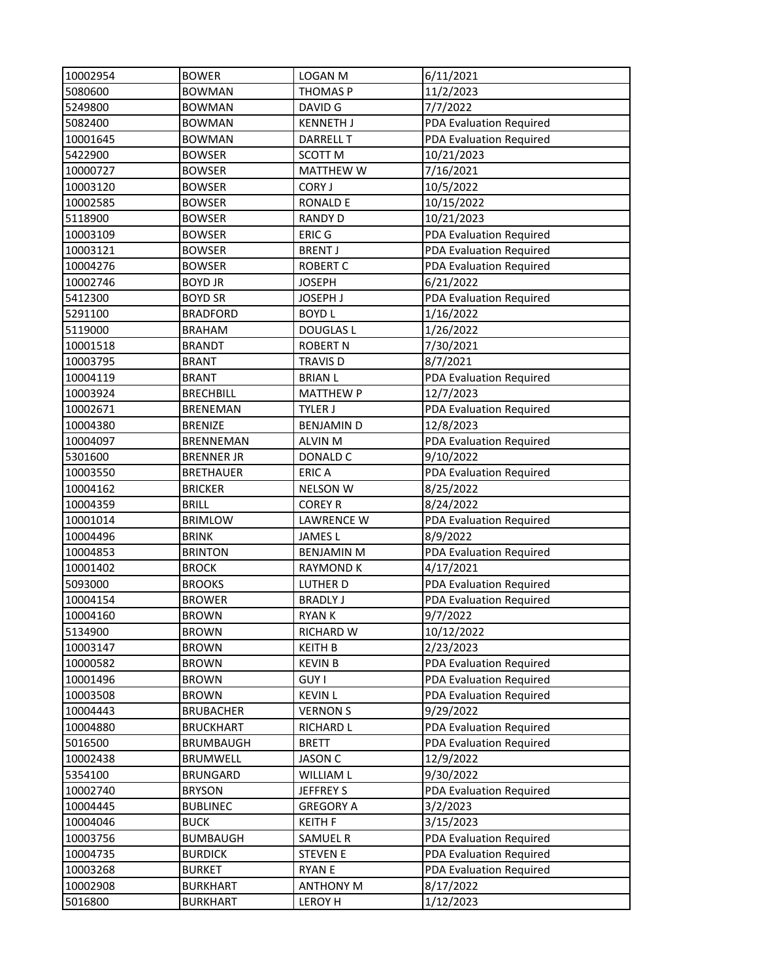| 10002954             | <b>BOWER</b>                   | <b>LOGAN M</b>                     | 6/11/2021                            |
|----------------------|--------------------------------|------------------------------------|--------------------------------------|
| 5080600              | <b>BOWMAN</b>                  | THOMAS P                           | 11/2/2023                            |
| 5249800              | <b>BOWMAN</b>                  | DAVID G                            | 7/7/2022                             |
| 5082400              | <b>BOWMAN</b>                  | <b>KENNETH J</b>                   | PDA Evaluation Required              |
| 10001645             | <b>BOWMAN</b>                  | <b>DARRELL T</b>                   | PDA Evaluation Required              |
| 5422900              | <b>BOWSER</b>                  | SCOTT M                            | 10/21/2023                           |
| 10000727             | <b>BOWSER</b>                  | <b>MATTHEW W</b>                   | 7/16/2021                            |
| 10003120             | <b>BOWSER</b>                  | <b>CORY J</b>                      | 10/5/2022                            |
| 10002585             | <b>BOWSER</b>                  | <b>RONALD E</b>                    | 10/15/2022                           |
| 5118900              | <b>BOWSER</b>                  | <b>RANDY D</b>                     | 10/21/2023                           |
| 10003109             | <b>BOWSER</b>                  | <b>ERIC G</b>                      | PDA Evaluation Required              |
| 10003121             | <b>BOWSER</b>                  | <b>BRENT J</b>                     | PDA Evaluation Required              |
| 10004276             | <b>BOWSER</b>                  | <b>ROBERT C</b>                    | PDA Evaluation Required              |
| 10002746             | <b>BOYD JR</b>                 | <b>JOSEPH</b>                      | 6/21/2022                            |
| 5412300              | <b>BOYD SR</b>                 | <b>JOSEPH J</b>                    | PDA Evaluation Required              |
| 5291100              | <b>BRADFORD</b>                | <b>BOYDL</b>                       | 1/16/2022                            |
| 5119000              | <b>BRAHAM</b>                  | <b>DOUGLAS L</b>                   | 1/26/2022                            |
| 10001518             | <b>BRANDT</b>                  | <b>ROBERT N</b>                    | 7/30/2021                            |
| 10003795             | <b>BRANT</b>                   | <b>TRAVIS D</b>                    | 8/7/2021                             |
| 10004119             | <b>BRANT</b>                   | <b>BRIAN L</b>                     | PDA Evaluation Required              |
| 10003924             | <b>BRECHBILL</b>               | <b>MATTHEW P</b>                   | 12/7/2023                            |
| 10002671             | <b>BRENEMAN</b>                | <b>TYLER J</b>                     | PDA Evaluation Required              |
| 10004380             | <b>BRENIZE</b>                 | <b>BENJAMIND</b>                   | 12/8/2023                            |
| 10004097             | BRENNEMAN                      | <b>ALVIN M</b>                     | PDA Evaluation Required              |
| 5301600              | <b>BRENNER JR</b>              | DONALD C                           | 9/10/2022                            |
| 10003550             | <b>BRETHAUER</b>               | <b>ERICA</b>                       |                                      |
|                      |                                |                                    | PDA Evaluation Required              |
| 10004162             | <b>BRICKER</b>                 | <b>NELSON W</b>                    | 8/25/2022                            |
| 10004359             | <b>BRILL</b>                   | <b>COREY R</b>                     | 8/24/2022                            |
| 10001014<br>10004496 | <b>BRIMLOW</b><br><b>BRINK</b> | <b>LAWRENCE W</b><br><b>JAMESL</b> | PDA Evaluation Required<br>8/9/2022  |
| 10004853             | <b>BRINTON</b>                 | <b>BENJAMIN M</b>                  |                                      |
| 10001402             | <b>BROCK</b>                   | <b>RAYMOND K</b>                   | PDA Evaluation Required<br>4/17/2021 |
|                      | <b>BROOKS</b>                  |                                    |                                      |
| 5093000              |                                | LUTHER D                           | PDA Evaluation Required              |
| 10004154             | <b>BROWER</b>                  | <b>BRADLY J</b>                    | PDA Evaluation Required              |
| 10004160             | <b>BROWN</b>                   | <b>RYANK</b>                       | 9/7/2022                             |
| 5134900              | <b>BROWN</b>                   | <b>RICHARD W</b>                   | 10/12/2022                           |
| 10003147             | <b>BROWN</b>                   | <b>KEITH B</b>                     | 2/23/2023                            |
| 10000582             | <b>BROWN</b>                   | <b>KEVIN B</b>                     | <b>PDA Evaluation Required</b>       |
| 10001496             | <b>BROWN</b>                   | <b>GUY I</b>                       | PDA Evaluation Required              |
| 10003508             | <b>BROWN</b>                   | <b>KEVIN L</b>                     | PDA Evaluation Required              |
| 10004443             | <b>BRUBACHER</b>               | <b>VERNON S</b>                    | 9/29/2022                            |
| 10004880             | <b>BRUCKHART</b>               | <b>RICHARD L</b>                   | PDA Evaluation Required              |
| 5016500              | <b>BRUMBAUGH</b>               | <b>BRETT</b>                       | PDA Evaluation Required              |
| 10002438             | <b>BRUMWELL</b>                | <b>JASON C</b>                     | 12/9/2022                            |
| 5354100              | <b>BRUNGARD</b>                | <b>WILLIAM L</b>                   | 9/30/2022                            |
| 10002740             | <b>BRYSON</b>                  | JEFFREY S                          | PDA Evaluation Required              |
| 10004445             | <b>BUBLINEC</b>                | <b>GREGORY A</b>                   | 3/2/2023                             |
| 10004046             | <b>BUCK</b>                    | <b>KEITH F</b>                     | 3/15/2023                            |
| 10003756             | <b>BUMBAUGH</b>                | SAMUEL R                           | PDA Evaluation Required              |
| 10004735             | <b>BURDICK</b>                 | <b>STEVEN E</b>                    | PDA Evaluation Required              |
| 10003268             | <b>BURKET</b>                  | <b>RYAN E</b>                      | PDA Evaluation Required              |
| 10002908             | <b>BURKHART</b>                | <b>ANTHONY M</b>                   | 8/17/2022                            |
| 5016800              | <b>BURKHART</b>                | LEROY H                            | 1/12/2023                            |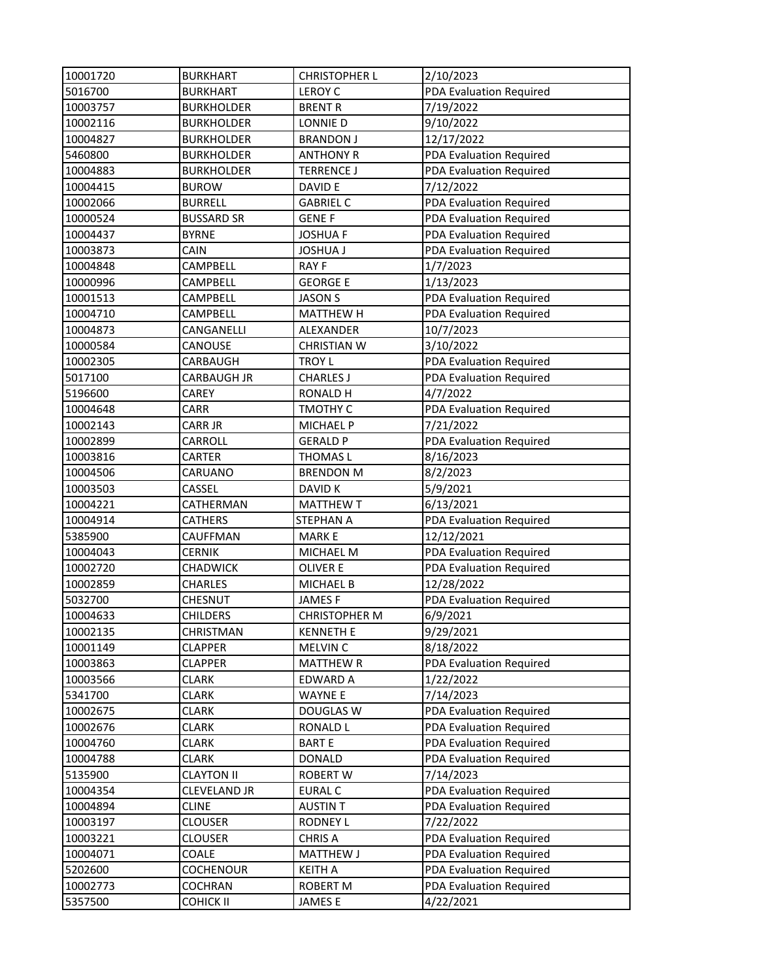| 10001720 | <b>BURKHART</b>     | <b>CHRISTOPHER L</b> | 2/10/2023                      |
|----------|---------------------|----------------------|--------------------------------|
| 5016700  | <b>BURKHART</b>     | <b>LEROY C</b>       | PDA Evaluation Required        |
| 10003757 | <b>BURKHOLDER</b>   | <b>BRENT R</b>       | 7/19/2022                      |
| 10002116 | <b>BURKHOLDER</b>   | LONNIE D             | 9/10/2022                      |
| 10004827 | <b>BURKHOLDER</b>   | <b>BRANDON J</b>     | 12/17/2022                     |
| 5460800  | <b>BURKHOLDER</b>   | <b>ANTHONY R</b>     | PDA Evaluation Required        |
| 10004883 | <b>BURKHOLDER</b>   | <b>TERRENCE J</b>    | PDA Evaluation Required        |
| 10004415 | <b>BUROW</b>        | DAVID E              | 7/12/2022                      |
| 10002066 | <b>BURRELL</b>      | <b>GABRIEL C</b>     | PDA Evaluation Required        |
| 10000524 | <b>BUSSARD SR</b>   | <b>GENE F</b>        | <b>PDA Evaluation Required</b> |
| 10004437 | <b>BYRNE</b>        | <b>JOSHUA F</b>      | PDA Evaluation Required        |
| 10003873 | CAIN                | <b>JOSHUA J</b>      | PDA Evaluation Required        |
| 10004848 | CAMPBELL            | <b>RAYF</b>          | 1/7/2023                       |
| 10000996 | CAMPBELL            | <b>GEORGE E</b>      | 1/13/2023                      |
| 10001513 | CAMPBELL            | <b>JASON S</b>       | PDA Evaluation Required        |
| 10004710 | CAMPBELL            | <b>MATTHEW H</b>     | PDA Evaluation Required        |
| 10004873 | CANGANELLI          | ALEXANDER            | 10/7/2023                      |
| 10000584 | CANOUSE             | <b>CHRISTIAN W</b>   | 3/10/2022                      |
| 10002305 | CARBAUGH            | <b>TROY L</b>        | PDA Evaluation Required        |
| 5017100  | CARBAUGH JR         | <b>CHARLES J</b>     | <b>PDA Evaluation Required</b> |
| 5196600  | CAREY               | <b>RONALD H</b>      | 4/7/2022                       |
| 10004648 | CARR                | TMOTHY C             | PDA Evaluation Required        |
| 10002143 | <b>CARR JR</b>      | MICHAEL P            | 7/21/2022                      |
| 10002899 | CARROLL             | <b>GERALD P</b>      | PDA Evaluation Required        |
| 10003816 | CARTER              | <b>THOMAS L</b>      | 8/16/2023                      |
| 10004506 | CARUANO             | <b>BRENDON M</b>     | 8/2/2023                       |
| 10003503 | CASSEL              | DAVID K              | 5/9/2021                       |
| 10004221 | CATHERMAN           | <b>MATTHEW T</b>     | 6/13/2021                      |
| 10004914 | CATHERS             | STEPHAN A            | PDA Evaluation Required        |
| 5385900  | CAUFFMAN            | <b>MARKE</b>         | 12/12/2021                     |
| 10004043 | <b>CERNIK</b>       | MICHAEL M            | PDA Evaluation Required        |
| 10002720 | <b>CHADWICK</b>     | <b>OLIVER E</b>      | PDA Evaluation Required        |
| 10002859 | <b>CHARLES</b>      | <b>MICHAEL B</b>     | 12/28/2022                     |
| 5032700  | CHESNUT             | <b>JAMESF</b>        | PDA Evaluation Required        |
| 10004633 | <b>CHILDERS</b>     | <b>CHRISTOPHER M</b> | 6/9/2021                       |
| 10002135 | CHRISTMAN           | <b>KENNETH E</b>     | 9/29/2021                      |
| 10001149 | <b>CLAPPER</b>      | MELVIN C             | 8/18/2022                      |
| 10003863 | <b>CLAPPER</b>      | <b>MATTHEW R</b>     | PDA Evaluation Required        |
| 10003566 | <b>CLARK</b>        | EDWARD A             | 1/22/2022                      |
| 5341700  | <b>CLARK</b>        | <b>WAYNE E</b>       | 7/14/2023                      |
| 10002675 | CLARK               | <b>DOUGLAS W</b>     | PDA Evaluation Required        |
| 10002676 | <b>CLARK</b>        | <b>RONALD L</b>      | PDA Evaluation Required        |
| 10004760 | CLARK               | <b>BARTE</b>         | PDA Evaluation Required        |
| 10004788 | CLARK               | <b>DONALD</b>        | PDA Evaluation Required        |
| 5135900  | <b>CLAYTON II</b>   | ROBERT W             | 7/14/2023                      |
| 10004354 | <b>CLEVELAND JR</b> | <b>EURAL C</b>       | PDA Evaluation Required        |
| 10004894 | <b>CLINE</b>        | <b>AUSTIN T</b>      | PDA Evaluation Required        |
| 10003197 | <b>CLOUSER</b>      | <b>RODNEY L</b>      | 7/22/2022                      |
| 10003221 | <b>CLOUSER</b>      | <b>CHRIS A</b>       | PDA Evaluation Required        |
| 10004071 | COALE               | <b>MATTHEW J</b>     | PDA Evaluation Required        |
| 5202600  | <b>COCHENOUR</b>    | <b>KEITH A</b>       | PDA Evaluation Required        |
| 10002773 | <b>COCHRAN</b>      | <b>ROBERT M</b>      | PDA Evaluation Required        |
| 5357500  | <b>COHICK II</b>    | <b>JAMESE</b>        | 4/22/2021                      |
|          |                     |                      |                                |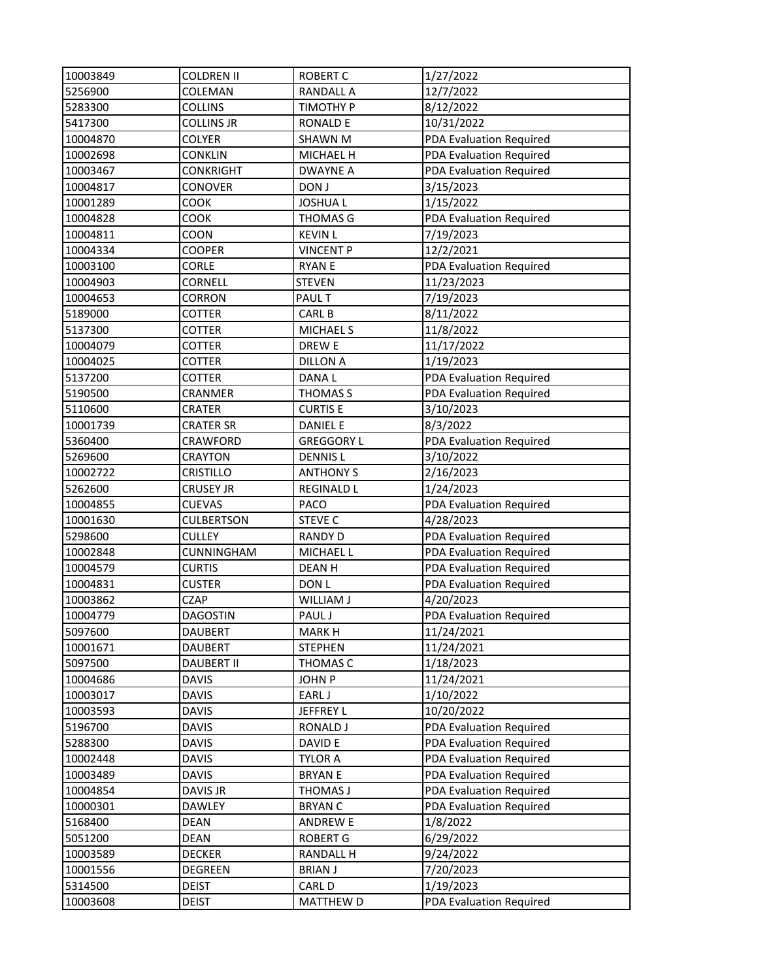| 10003849 | <b>COLDREN II</b> | <b>ROBERT C</b>   | 1/27/2022               |
|----------|-------------------|-------------------|-------------------------|
| 5256900  | COLEMAN           | <b>RANDALL A</b>  | 12/7/2022               |
| 5283300  | <b>COLLINS</b>    | TIMOTHY P         | 8/12/2022               |
| 5417300  | <b>COLLINS JR</b> | <b>RONALD E</b>   | 10/31/2022              |
| 10004870 | <b>COLYER</b>     | <b>SHAWN M</b>    | PDA Evaluation Required |
| 10002698 | <b>CONKLIN</b>    | MICHAEL H         | PDA Evaluation Required |
| 10003467 | <b>CONKRIGHT</b>  | <b>DWAYNE A</b>   | PDA Evaluation Required |
| 10004817 | <b>CONOVER</b>    | DON J             | 3/15/2023               |
| 10001289 | COOK              | <b>JOSHUAL</b>    | 1/15/2022               |
| 10004828 | COOK              | <b>THOMAS G</b>   | PDA Evaluation Required |
| 10004811 | COON              | <b>KEVIN L</b>    | 7/19/2023               |
| 10004334 | <b>COOPER</b>     | <b>VINCENT P</b>  | 12/2/2021               |
| 10003100 | CORLE             | <b>RYAN E</b>     | PDA Evaluation Required |
|          | <b>CORNELL</b>    |                   |                         |
| 10004903 |                   | <b>STEVEN</b>     | 11/23/2023              |
| 10004653 | <b>CORRON</b>     | <b>PAUL T</b>     | 7/19/2023               |
| 5189000  | <b>COTTER</b>     | <b>CARL B</b>     | 8/11/2022               |
| 5137300  | <b>COTTER</b>     | <b>MICHAEL S</b>  | 11/8/2022               |
| 10004079 | <b>COTTER</b>     | DREW E            | 11/17/2022              |
| 10004025 | COTTER            | <b>DILLON A</b>   | 1/19/2023               |
| 5137200  | <b>COTTER</b>     | DANA L            | PDA Evaluation Required |
| 5190500  | CRANMER           | THOMAS S          | PDA Evaluation Required |
| 5110600  | <b>CRATER</b>     | <b>CURTIS E</b>   | 3/10/2023               |
| 10001739 | <b>CRATER SR</b>  | <b>DANIEL E</b>   | 8/3/2022                |
| 5360400  | CRAWFORD          | <b>GREGGORY L</b> | PDA Evaluation Required |
| 5269600  | <b>CRAYTON</b>    | <b>DENNISL</b>    | 3/10/2022               |
| 10002722 | <b>CRISTILLO</b>  | <b>ANTHONY S</b>  | 2/16/2023               |
| 5262600  | <b>CRUSEY JR</b>  | <b>REGINALD L</b> | 1/24/2023               |
| 10004855 | <b>CUEVAS</b>     | PACO              | PDA Evaluation Required |
| 10001630 | <b>CULBERTSON</b> | <b>STEVE C</b>    | 4/28/2023               |
| 5298600  | <b>CULLEY</b>     | <b>RANDY D</b>    | PDA Evaluation Required |
| 10002848 | CUNNINGHAM        | MICHAEL L         | PDA Evaluation Required |
| 10004579 | <b>CURTIS</b>     | <b>DEANH</b>      | PDA Evaluation Required |
| 10004831 | <b>CUSTER</b>     | DON L             | PDA Evaluation Required |
| 10003862 | <b>CZAP</b>       | WILLIAM J         | 4/20/2023               |
| 10004779 | <b>DAGOSTIN</b>   | PAUL J            | PDA Evaluation Required |
| 5097600  | DAUBERT           | <b>MARK H</b>     | 11/24/2021              |
| 10001671 | <b>DAUBERT</b>    | <b>STEPHEN</b>    | 11/24/2021              |
| 5097500  | <b>DAUBERT II</b> | THOMAS C          | 1/18/2023               |
| 10004686 | <b>DAVIS</b>      | <b>JOHN P</b>     | 11/24/2021              |
| 10003017 | <b>DAVIS</b>      | EARL J            | 1/10/2022               |
| 10003593 | <b>DAVIS</b>      | JEFFREY L         | 10/20/2022              |
| 5196700  | <b>DAVIS</b>      | <b>RONALD J</b>   | PDA Evaluation Required |
| 5288300  | <b>DAVIS</b>      | DAVID E           | PDA Evaluation Required |
| 10002448 | <b>DAVIS</b>      | <b>TYLOR A</b>    | PDA Evaluation Required |
| 10003489 | <b>DAVIS</b>      | <b>BRYAN E</b>    | PDA Evaluation Required |
| 10004854 | DAVIS JR          | THOMAS J          | PDA Evaluation Required |
| 10000301 | <b>DAWLEY</b>     | <b>BRYAN C</b>    | PDA Evaluation Required |
| 5168400  | <b>DEAN</b>       | <b>ANDREW E</b>   | 1/8/2022                |
| 5051200  | <b>DEAN</b>       | <b>ROBERT G</b>   | 6/29/2022               |
|          |                   |                   |                         |
| 10003589 | <b>DECKER</b>     | <b>RANDALL H</b>  | 9/24/2022               |
| 10001556 | DEGREEN           | <b>BRIAN J</b>    | 7/20/2023               |
| 5314500  | <b>DEIST</b>      | CARL D            | 1/19/2023               |
| 10003608 | <b>DEIST</b>      | <b>MATTHEW D</b>  | PDA Evaluation Required |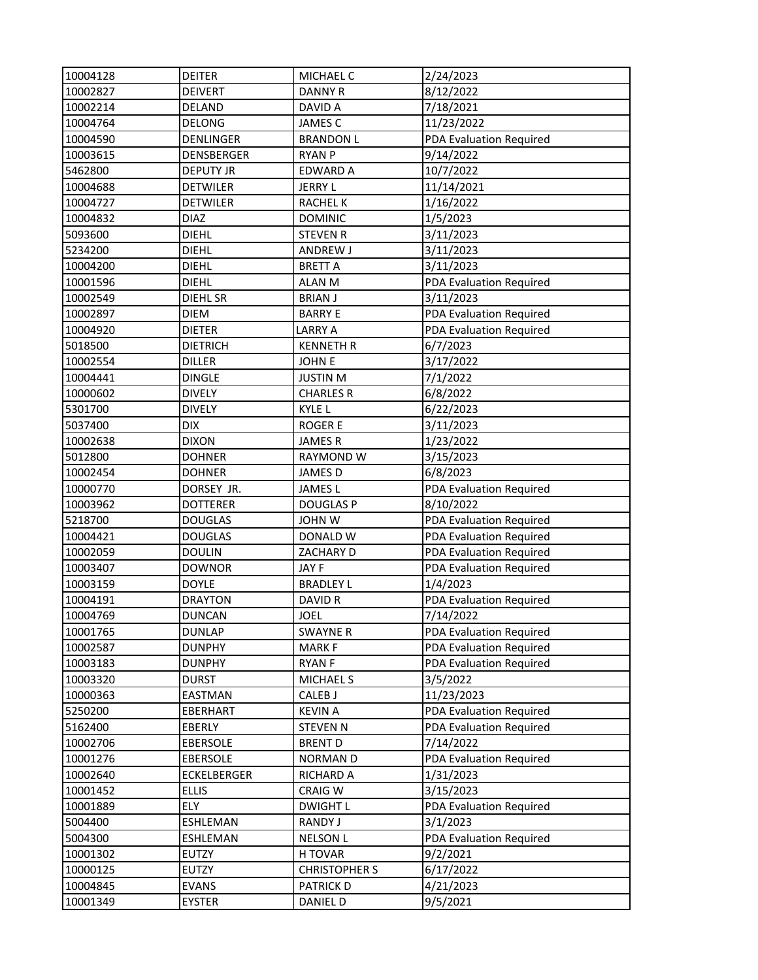| 10004128 | <b>DEITER</b>      | MICHAEL C            | 2/24/2023               |
|----------|--------------------|----------------------|-------------------------|
| 10002827 | <b>DEIVERT</b>     | <b>DANNY R</b>       | 8/12/2022               |
| 10002214 | <b>DELAND</b>      | DAVID A              | 7/18/2021               |
| 10004764 | <b>DELONG</b>      | <b>JAMES C</b>       | 11/23/2022              |
| 10004590 | <b>DENLINGER</b>   | <b>BRANDON L</b>     | PDA Evaluation Required |
| 10003615 | <b>DENSBERGER</b>  | <b>RYAN P</b>        | 9/14/2022               |
| 5462800  | <b>DEPUTY JR</b>   | <b>EDWARD A</b>      | 10/7/2022               |
| 10004688 | <b>DETWILER</b>    | JERRY L              | 11/14/2021              |
| 10004727 | <b>DETWILER</b>    | <b>RACHEL K</b>      | 1/16/2022               |
| 10004832 | <b>DIAZ</b>        | <b>DOMINIC</b>       | 1/5/2023                |
| 5093600  | <b>DIEHL</b>       | <b>STEVEN R</b>      | 3/11/2023               |
| 5234200  | <b>DIEHL</b>       | ANDREW J             | 3/11/2023               |
| 10004200 | <b>DIEHL</b>       | <b>BRETT A</b>       | 3/11/2023               |
| 10001596 | <b>DIEHL</b>       | <b>ALAN M</b>        | PDA Evaluation Required |
| 10002549 | DIEHL SR           | <b>BRIAN J</b>       | 3/11/2023               |
| 10002897 | <b>DIEM</b>        | <b>BARRY E</b>       | PDA Evaluation Required |
| 10004920 | <b>DIETER</b>      | <b>LARRY A</b>       | PDA Evaluation Required |
| 5018500  | <b>DIETRICH</b>    | <b>KENNETH R</b>     | 6/7/2023                |
| 10002554 | <b>DILLER</b>      | <b>JOHN E</b>        | 3/17/2022               |
| 10004441 | <b>DINGLE</b>      | <b>JUSTIN M</b>      | 7/1/2022                |
| 10000602 | <b>DIVELY</b>      | <b>CHARLES R</b>     | 6/8/2022                |
| 5301700  | <b>DIVELY</b>      | KYLE L               | 6/22/2023               |
| 5037400  | <b>DIX</b>         | <b>ROGER E</b>       | 3/11/2023               |
| 10002638 | <b>DIXON</b>       | <b>JAMESR</b>        | 1/23/2022               |
| 5012800  | <b>DOHNER</b>      | RAYMOND W            | 3/15/2023               |
| 10002454 | <b>DOHNER</b>      | <b>JAMES D</b>       | 6/8/2023                |
| 10000770 | DORSEY JR.         | <b>JAMESL</b>        | PDA Evaluation Required |
| 10003962 | <b>DOTTERER</b>    | <b>DOUGLAS P</b>     | 8/10/2022               |
| 5218700  | <b>DOUGLAS</b>     | JOHN W               | PDA Evaluation Required |
| 10004421 | <b>DOUGLAS</b>     | DONALD W             | PDA Evaluation Required |
| 10002059 | <b>DOULIN</b>      | ZACHARY D            | PDA Evaluation Required |
| 10003407 | <b>DOWNOR</b>      | JAY F                | PDA Evaluation Required |
| 10003159 | <b>DOYLE</b>       | <b>BRADLEY L</b>     | 1/4/2023                |
| 10004191 | <b>DRAYTON</b>     | DAVID R              | PDA Evaluation Required |
| 10004769 | <b>DUNCAN</b>      | <b>JOEL</b>          | 7/14/2022               |
| 10001765 | <b>DUNLAP</b>      | <b>SWAYNE R</b>      | PDA Evaluation Required |
| 10002587 | <b>DUNPHY</b>      | <b>MARKF</b>         | PDA Evaluation Required |
| 10003183 | <b>DUNPHY</b>      | <b>RYANF</b>         | PDA Evaluation Required |
| 10003320 | <b>DURST</b>       | MICHAEL S            | 3/5/2022                |
| 10000363 | <b>EASTMAN</b>     | CALEB J              | 11/23/2023              |
| 5250200  | EBERHART           | <b>KEVIN A</b>       | PDA Evaluation Required |
| 5162400  | EBERLY             | <b>STEVEN N</b>      | PDA Evaluation Required |
|          |                    |                      |                         |
| 10002706 | <b>EBERSOLE</b>    | <b>BRENT D</b>       | 7/14/2022               |
| 10001276 | <b>EBERSOLE</b>    | <b>NORMAN D</b>      | PDA Evaluation Required |
| 10002640 | <b>ECKELBERGER</b> | RICHARD A            | 1/31/2023               |
| 10001452 | <b>ELLIS</b>       | <b>CRAIG W</b>       | 3/15/2023               |
| 10001889 | ELY                | <b>DWIGHT L</b>      | PDA Evaluation Required |
| 5004400  | ESHLEMAN           | <b>RANDY J</b>       | 3/1/2023                |
| 5004300  | ESHLEMAN           | <b>NELSON L</b>      | PDA Evaluation Required |
| 10001302 | EUTZY              | H TOVAR              | 9/2/2021                |
| 10000125 | <b>EUTZY</b>       | <b>CHRISTOPHER S</b> | 6/17/2022               |
| 10004845 | <b>EVANS</b>       | <b>PATRICK D</b>     | 4/21/2023               |
| 10001349 | <b>EYSTER</b>      | <b>DANIEL D</b>      | 9/5/2021                |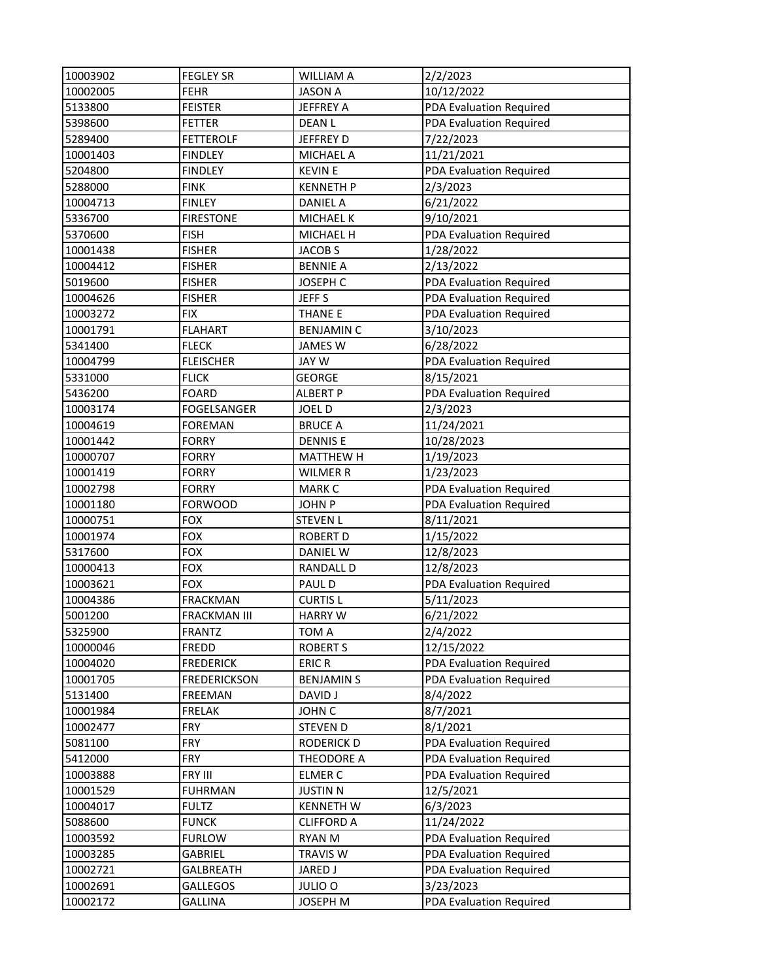| 10003902 | <b>FEGLEY SR</b>    | <b>WILLIAM A</b>   | 2/2/2023                       |
|----------|---------------------|--------------------|--------------------------------|
| 10002005 | <b>FEHR</b>         | <b>JASON A</b>     | 10/12/2022                     |
| 5133800  | <b>FEISTER</b>      | JEFFREY A          | <b>PDA Evaluation Required</b> |
| 5398600  | <b>FETTER</b>       | <b>DEANL</b>       | PDA Evaluation Required        |
| 5289400  | <b>FETTEROLF</b>    | JEFFREY D          | 7/22/2023                      |
| 10001403 | <b>FINDLEY</b>      | <b>MICHAEL A</b>   | 11/21/2021                     |
| 5204800  | <b>FINDLEY</b>      | <b>KEVIN E</b>     | PDA Evaluation Required        |
| 5288000  | <b>FINK</b>         | <b>KENNETH P</b>   | 2/3/2023                       |
| 10004713 | <b>FINLEY</b>       | <b>DANIEL A</b>    | 6/21/2022                      |
| 5336700  | <b>FIRESTONE</b>    | MICHAEL K          | 9/10/2021                      |
| 5370600  | <b>FISH</b>         | MICHAEL H          | PDA Evaluation Required        |
| 10001438 | <b>FISHER</b>       | JACOB <sub>S</sub> | 1/28/2022                      |
| 10004412 | <b>FISHER</b>       | <b>BENNIE A</b>    | 2/13/2022                      |
| 5019600  | <b>FISHER</b>       | JOSEPH C           | PDA Evaluation Required        |
| 10004626 | <b>FISHER</b>       | JEFF <sub>S</sub>  | PDA Evaluation Required        |
| 10003272 | <b>FIX</b>          | <b>THANE E</b>     | PDA Evaluation Required        |
| 10001791 | <b>FLAHART</b>      | <b>BENJAMIN C</b>  | 3/10/2023                      |
| 5341400  | <b>FLECK</b>        | <b>JAMES W</b>     | 6/28/2022                      |
| 10004799 | <b>FLEISCHER</b>    | <b>JAY W</b>       | PDA Evaluation Required        |
| 5331000  | <b>FLICK</b>        | <b>GEORGE</b>      | 8/15/2021                      |
| 5436200  | <b>FOARD</b>        | <b>ALBERT P</b>    | PDA Evaluation Required        |
| 10003174 | <b>FOGELSANGER</b>  | <b>JOELD</b>       | 2/3/2023                       |
| 10004619 | <b>FOREMAN</b>      | <b>BRUCE A</b>     | 11/24/2021                     |
| 10001442 | <b>FORRY</b>        | <b>DENNISE</b>     | 10/28/2023                     |
| 10000707 | <b>FORRY</b>        | <b>MATTHEW H</b>   | 1/19/2023                      |
| 10001419 | <b>FORRY</b>        | <b>WILMER R</b>    | 1/23/2023                      |
| 10002798 | <b>FORRY</b>        | <b>MARK C</b>      | PDA Evaluation Required        |
| 10001180 | <b>FORWOOD</b>      | <b>JOHN P</b>      | PDA Evaluation Required        |
| 10000751 | <b>FOX</b>          | <b>STEVEN L</b>    | 8/11/2021                      |
| 10001974 | <b>FOX</b>          | <b>ROBERT D</b>    | 1/15/2022                      |
| 5317600  | <b>FOX</b>          | <b>DANIEL W</b>    | 12/8/2023                      |
| 10000413 | <b>FOX</b>          | <b>RANDALL D</b>   | 12/8/2023                      |
| 10003621 | <b>FOX</b>          | PAUL D             | PDA Evaluation Required        |
| 10004386 | <b>FRACKMAN</b>     | <b>CURTIS L</b>    | 5/11/2023                      |
| 5001200  | <b>FRACKMAN III</b> | <b>HARRY W</b>     | 6/21/2022                      |
| 5325900  | <b>FRANTZ</b>       | TOM A              | 2/4/2022                       |
| 10000046 | FREDD               | <b>ROBERT S</b>    | 12/15/2022                     |
| 10004020 | <b>FREDERICK</b>    | <b>ERICR</b>       | PDA Evaluation Required        |
| 10001705 | <b>FREDERICKSON</b> | <b>BENJAMIN S</b>  | PDA Evaluation Required        |
| 5131400  | <b>FREEMAN</b>      | DAVID J            | 8/4/2022                       |
| 10001984 | <b>FRELAK</b>       | JOHN C             | 8/7/2021                       |
| 10002477 | <b>FRY</b>          | <b>STEVEN D</b>    | 8/1/2021                       |
| 5081100  | <b>FRY</b>          | <b>RODERICK D</b>  | PDA Evaluation Required        |
| 5412000  | <b>FRY</b>          | THEODORE A         | PDA Evaluation Required        |
| 10003888 | FRY III             | <b>ELMER C</b>     | PDA Evaluation Required        |
| 10001529 | <b>FUHRMAN</b>      | <b>JUSTIN N</b>    | 12/5/2021                      |
| 10004017 | <b>FULTZ</b>        | <b>KENNETH W</b>   | 6/3/2023                       |
| 5088600  | <b>FUNCK</b>        | <b>CLIFFORD A</b>  | 11/24/2022                     |
| 10003592 | <b>FURLOW</b>       | <b>RYAN M</b>      | PDA Evaluation Required        |
| 10003285 | GABRIEL             | <b>TRAVIS W</b>    | PDA Evaluation Required        |
| 10002721 | GALBREATH           | <b>JARED J</b>     | PDA Evaluation Required        |
| 10002691 | <b>GALLEGOS</b>     | JULIO O            | 3/23/2023                      |
| 10002172 | <b>GALLINA</b>      | JOSEPH M           | PDA Evaluation Required        |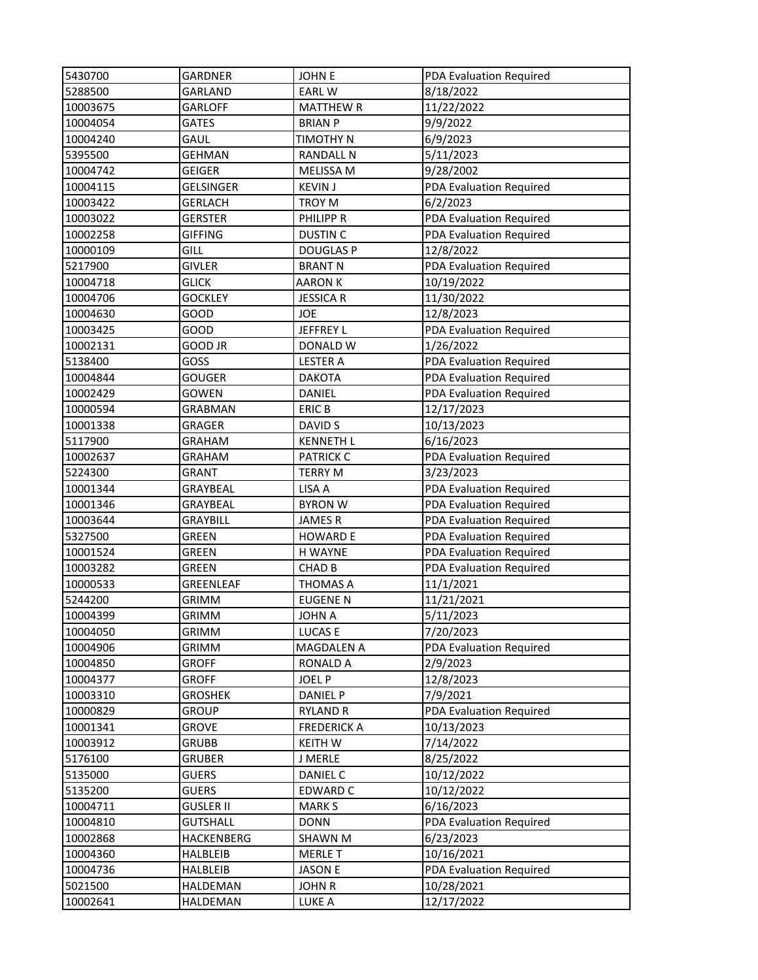| 5430700             | <b>GARDNER</b>   | <b>JOHNE</b>               | PDA Evaluation Required                            |
|---------------------|------------------|----------------------------|----------------------------------------------------|
| 5288500             | GARLAND          | <b>EARLW</b>               | 8/18/2022                                          |
| 10003675            | <b>GARLOFF</b>   | <b>MATTHEW R</b>           | 11/22/2022                                         |
| 10004054            | <b>GATES</b>     | <b>BRIAN P</b>             | 9/9/2022                                           |
| 10004240            | GAUL             | TIMOTHY N                  | 6/9/2023                                           |
| 5395500             | <b>GEHMAN</b>    | <b>RANDALL N</b>           | 5/11/2023                                          |
| 10004742            | <b>GEIGER</b>    | MELISSA M                  | 9/28/2002                                          |
| 10004115            | <b>GELSINGER</b> | <b>KEVIN J</b>             | PDA Evaluation Required                            |
| 10003422            | <b>GERLACH</b>   | TROY M                     | 6/2/2023                                           |
| 10003022            | <b>GERSTER</b>   | PHILIPP R                  | <b>PDA Evaluation Required</b>                     |
| 10002258            | <b>GIFFING</b>   | <b>DUSTIN C</b>            | PDA Evaluation Required                            |
| 10000109            | <b>GILL</b>      | <b>DOUGLAS P</b>           | 12/8/2022                                          |
| 5217900             | <b>GIVLER</b>    | <b>BRANT N</b>             | PDA Evaluation Required                            |
| 10004718            | <b>GLICK</b>     | AARON K                    | 10/19/2022                                         |
| 10004706            | <b>GOCKLEY</b>   | <b>JESSICA R</b>           | 11/30/2022                                         |
| 10004630            | <b>GOOD</b>      | JOE                        | 12/8/2023                                          |
| 10003425            | GOOD             | <b>JEFFREY L</b>           | PDA Evaluation Required                            |
| 10002131            | GOOD JR          | DONALD W                   | 1/26/2022                                          |
| 5138400             | GOSS             | <b>LESTER A</b>            | PDA Evaluation Required                            |
| 10004844            | <b>GOUGER</b>    | <b>DAKOTA</b>              | PDA Evaluation Required                            |
| 10002429            | GOWEN            | DANIEL                     | PDA Evaluation Required                            |
| 10000594            | <b>GRABMAN</b>   | <b>ERICB</b>               | 12/17/2023                                         |
| 10001338            | GRAGER           | DAVID S                    | 10/13/2023                                         |
| 5117900             | <b>GRAHAM</b>    | <b>KENNETH L</b>           | 6/16/2023                                          |
| 10002637            | <b>GRAHAM</b>    | <b>PATRICK C</b>           |                                                    |
|                     | <b>GRANT</b>     |                            | PDA Evaluation Required<br>3/23/2023               |
| 5224300             |                  | <b>TERRY M</b>             |                                                    |
| 10001344            | GRAYBEAL         | LISA A                     | PDA Evaluation Required                            |
| 10001346            | GRAYBEAL         | <b>BYRON W</b>             | PDA Evaluation Required<br>PDA Evaluation Required |
| 10003644            | <b>GRAYBILL</b>  | <b>JAMESR</b>              |                                                    |
| 5327500<br>10001524 | GREEN            | <b>HOWARD E</b><br>H WAYNE | PDA Evaluation Required                            |
| 10003282            | <b>GREEN</b>     |                            | PDA Evaluation Required                            |
|                     | GREEN            | <b>CHAD B</b>              | PDA Evaluation Required                            |
| 10000533            | <b>GREENLEAF</b> | <b>THOMAS A</b>            | 11/1/2021                                          |
| 5244200             | <b>GRIMM</b>     | <b>EUGENE N</b>            | 11/21/2021                                         |
| 10004399            | <b>GRIMM</b>     | <b>JOHN A</b>              | 5/11/2023                                          |
| 10004050            | <b>GRIMM</b>     | LUCAS E                    | 7/20/2023                                          |
| 10004906            | <b>GRIMM</b>     | MAGDALEN A                 | PDA Evaluation Required                            |
| 10004850            | <b>GROFF</b>     | <b>RONALD A</b>            | 2/9/2023                                           |
| 10004377            | <b>GROFF</b>     | <b>JOEL P</b>              | 12/8/2023                                          |
| 10003310            | <b>GROSHEK</b>   | DANIEL P                   | 7/9/2021                                           |
| 10000829            | <b>GROUP</b>     | <b>RYLAND R</b>            | PDA Evaluation Required                            |
| 10001341            | <b>GROVE</b>     | <b>FREDERICK A</b>         | 10/13/2023                                         |
| 10003912            | <b>GRUBB</b>     | <b>KEITH W</b>             | 7/14/2022                                          |
| 5176100             | <b>GRUBER</b>    | J MERLE                    | 8/25/2022                                          |
| 5135000             | <b>GUERS</b>     | DANIEL C                   | 10/12/2022                                         |
| 5135200             | <b>GUERS</b>     | EDWARD C                   | 10/12/2022                                         |
| 10004711            | <b>GUSLER II</b> | <b>MARK S</b>              | 6/16/2023                                          |
| 10004810            | <b>GUTSHALL</b>  | <b>DONN</b>                | PDA Evaluation Required                            |
| 10002868            | HACKENBERG       | <b>SHAWN M</b>             | 6/23/2023                                          |
| 10004360            | HALBLEIB         | <b>MERLE T</b>             | 10/16/2021                                         |
| 10004736            | HALBLEIB         | <b>JASON E</b>             | PDA Evaluation Required                            |
| 5021500             | HALDEMAN         | <b>JOHN R</b>              | 10/28/2021                                         |
| 10002641            | HALDEMAN         | LUKE A                     | 12/17/2022                                         |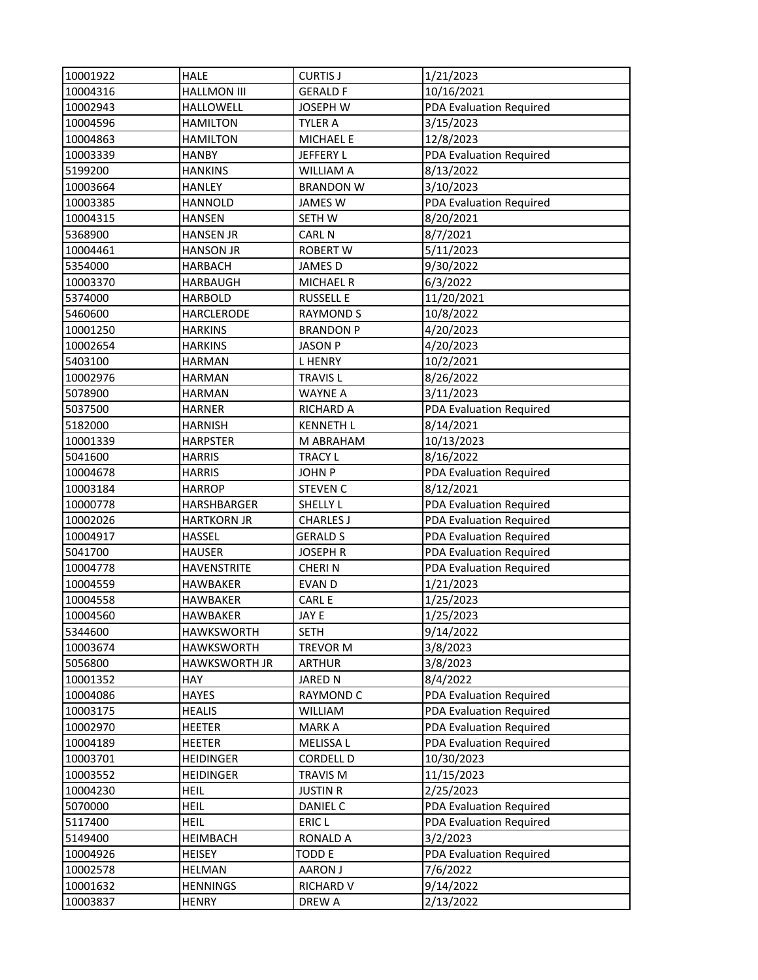| 10001922             | <b>HALE</b>                        | <b>CURTIS J</b>                     | 1/21/2023                                          |
|----------------------|------------------------------------|-------------------------------------|----------------------------------------------------|
| 10004316             | <b>HALLMON III</b>                 | <b>GERALD F</b>                     | 10/16/2021                                         |
| 10002943             | HALLOWELL                          | <b>JOSEPH W</b>                     | PDA Evaluation Required                            |
| 10004596             | <b>HAMILTON</b>                    | <b>TYLER A</b>                      | 3/15/2023                                          |
| 10004863             | <b>HAMILTON</b>                    | <b>MICHAEL E</b>                    | 12/8/2023                                          |
| 10003339             | <b>HANBY</b>                       | JEFFERY L                           | PDA Evaluation Required                            |
| 5199200              | <b>HANKINS</b>                     | <b>WILLIAM A</b>                    | 8/13/2022                                          |
| 10003664             | <b>HANLEY</b>                      | <b>BRANDON W</b>                    | 3/10/2023                                          |
| 10003385             | <b>HANNOLD</b>                     | JAMES W                             | PDA Evaluation Required                            |
| 10004315             | <b>HANSEN</b>                      | SETH W                              | 8/20/2021                                          |
| 5368900              | <b>HANSEN JR</b>                   | <b>CARL N</b>                       | 8/7/2021                                           |
| 10004461             | <b>HANSON JR</b>                   | <b>ROBERT W</b>                     | 5/11/2023                                          |
| 5354000              | <b>HARBACH</b>                     | JAMES D                             | 9/30/2022                                          |
| 10003370             | <b>HARBAUGH</b>                    | <b>MICHAEL R</b>                    | 6/3/2022                                           |
| 5374000              | <b>HARBOLD</b>                     | <b>RUSSELL E</b>                    | 11/20/2021                                         |
| 5460600              | HARCLERODE                         | <b>RAYMOND S</b>                    | 10/8/2022                                          |
| 10001250             | <b>HARKINS</b>                     | <b>BRANDON P</b>                    | 4/20/2023                                          |
| 10002654             | <b>HARKINS</b>                     | <b>JASON P</b>                      | 4/20/2023                                          |
| 5403100              | <b>HARMAN</b>                      | <b>LHENRY</b>                       | 10/2/2021                                          |
| 10002976             | <b>HARMAN</b>                      | <b>TRAVIS L</b>                     | 8/26/2022                                          |
| 5078900              | <b>HARMAN</b>                      | <b>WAYNE A</b>                      | 3/11/2023                                          |
| 5037500              | <b>HARNER</b>                      | RICHARD A                           | PDA Evaluation Required                            |
| 5182000              | <b>HARNISH</b>                     | <b>KENNETH L</b>                    | 8/14/2021                                          |
| 10001339             | <b>HARPSTER</b>                    | M ABRAHAM                           | 10/13/2023                                         |
| 5041600              | <b>HARRIS</b>                      |                                     | 8/16/2022                                          |
| 10004678             | <b>HARRIS</b>                      | <b>TRACY L</b><br><b>JOHN P</b>     |                                                    |
|                      |                                    |                                     | PDA Evaluation Required                            |
| 10003184             | <b>HARROP</b>                      | <b>STEVEN C</b>                     | 8/12/2021                                          |
| 10000778             | HARSHBARGER<br><b>HARTKORN JR</b>  | SHELLY L                            | PDA Evaluation Required<br>PDA Evaluation Required |
| 10002026<br>10004917 | <b>HASSEL</b>                      | <b>CHARLES J</b><br><b>GERALD S</b> | PDA Evaluation Required                            |
| 5041700              | <b>HAUSER</b>                      | <b>JOSEPH R</b>                     | PDA Evaluation Required                            |
| 10004778             | <b>HAVENSTRITE</b>                 | <b>CHERIN</b>                       | PDA Evaluation Required                            |
|                      |                                    |                                     |                                                    |
| 10004559<br>10004558 | <b>HAWBAKER</b><br><b>HAWBAKER</b> | EVAN D<br>CARL E                    | 1/21/2023                                          |
|                      | <b>HAWBAKER</b>                    |                                     | 1/25/2023                                          |
| 10004560             |                                    | JAY E                               | 1/25/2023                                          |
| 5344600              | <b>HAWKSWORTH</b>                  | <b>SETH</b>                         | 9/14/2022                                          |
| 10003674             | <b>HAWKSWORTH</b>                  | <b>TREVOR M</b>                     | 3/8/2023                                           |
| 5056800              | <b>HAWKSWORTH JR</b>               | <b>ARTHUR</b>                       | 3/8/2023                                           |
| 10001352             | HAY                                | <b>JARED N</b>                      | 8/4/2022                                           |
| 10004086             | <b>HAYES</b>                       | <b>RAYMOND C</b>                    | PDA Evaluation Required                            |
| 10003175             | <b>HEALIS</b>                      | <b>WILLIAM</b>                      | PDA Evaluation Required                            |
| 10002970             | <b>HEETER</b>                      | <b>MARKA</b>                        | PDA Evaluation Required                            |
| 10004189             | <b>HEETER</b>                      | MELISSA L                           | PDA Evaluation Required                            |
| 10003701             | <b>HEIDINGER</b>                   | CORDELL D                           | 10/30/2023                                         |
| 10003552             | <b>HEIDINGER</b>                   | TRAVIS M                            | 11/15/2023                                         |
| 10004230             | <b>HEIL</b>                        | <b>JUSTIN R</b>                     | 2/25/2023                                          |
| 5070000              | <b>HEIL</b>                        | DANIEL C                            | PDA Evaluation Required                            |
| 5117400              | <b>HEIL</b>                        | ERIC <sub>L</sub>                   | PDA Evaluation Required                            |
| 5149400              | HEIMBACH                           | <b>RONALD A</b>                     | 3/2/2023                                           |
| 10004926             | <b>HEISEY</b>                      | TODD E                              | PDA Evaluation Required                            |
| 10002578             | <b>HELMAN</b>                      | <b>AARON J</b>                      | 7/6/2022                                           |
| 10001632             | <b>HENNINGS</b>                    | <b>RICHARD V</b>                    | 9/14/2022                                          |
| 10003837             | <b>HENRY</b>                       | DREW A                              | 2/13/2022                                          |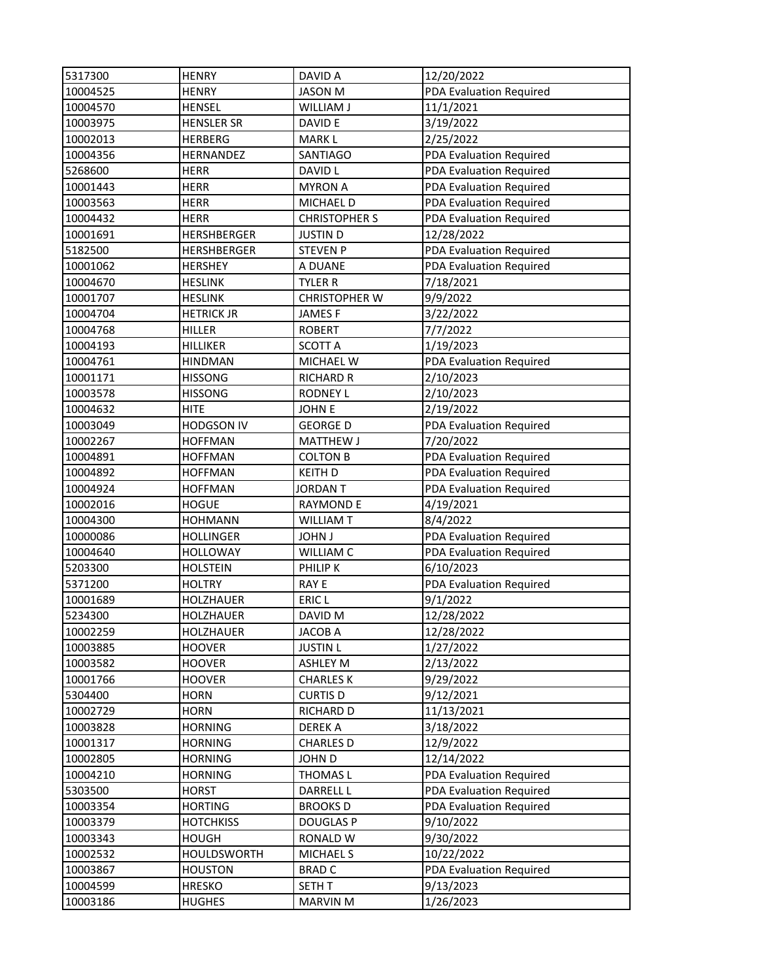| 5317300  | <b>HENRY</b>       | DAVID A              | 12/20/2022              |
|----------|--------------------|----------------------|-------------------------|
| 10004525 | <b>HENRY</b>       | <b>JASON M</b>       | PDA Evaluation Required |
| 10004570 | <b>HENSEL</b>      | WILLIAM J            | 11/1/2021               |
| 10003975 | <b>HENSLER SR</b>  | DAVID E              | 3/19/2022               |
| 10002013 | <b>HERBERG</b>     | <b>MARKL</b>         | 2/25/2022               |
| 10004356 | HERNANDEZ          | <b>SANTIAGO</b>      | PDA Evaluation Required |
| 5268600  | <b>HERR</b>        | DAVID L              | PDA Evaluation Required |
| 10001443 | <b>HERR</b>        | <b>MYRON A</b>       | PDA Evaluation Required |
| 10003563 | <b>HERR</b>        | MICHAEL D            | PDA Evaluation Required |
| 10004432 | <b>HERR</b>        | <b>CHRISTOPHER S</b> | PDA Evaluation Required |
| 10001691 | <b>HERSHBERGER</b> | <b>JUSTIN D</b>      | 12/28/2022              |
| 5182500  | HERSHBERGER        | <b>STEVEN P</b>      | PDA Evaluation Required |
| 10001062 | <b>HERSHEY</b>     | A DUANE              | PDA Evaluation Required |
| 10004670 | <b>HESLINK</b>     | TYLER R              | 7/18/2021               |
| 10001707 | <b>HESLINK</b>     | <b>CHRISTOPHER W</b> | 9/9/2022                |
| 10004704 | <b>HETRICK JR</b>  | <b>JAMESF</b>        | 3/22/2022               |
| 10004768 | <b>HILLER</b>      | <b>ROBERT</b>        | 7/7/2022                |
| 10004193 | <b>HILLIKER</b>    | <b>SCOTT A</b>       | 1/19/2023               |
| 10004761 | <b>HINDMAN</b>     | MICHAEL W            | PDA Evaluation Required |
| 10001171 | <b>HISSONG</b>     | <b>RICHARD R</b>     | 2/10/2023               |
| 10003578 | <b>HISSONG</b>     | <b>RODNEY L</b>      | 2/10/2023               |
| 10004632 | <b>HITE</b>        | <b>JOHN E</b>        | 2/19/2022               |
| 10003049 | <b>HODGSON IV</b>  | <b>GEORGE D</b>      | PDA Evaluation Required |
| 10002267 | <b>HOFFMAN</b>     | <b>MATTHEW J</b>     | 7/20/2022               |
| 10004891 | <b>HOFFMAN</b>     | <b>COLTON B</b>      | PDA Evaluation Required |
| 10004892 | <b>HOFFMAN</b>     | <b>KEITH D</b>       | PDA Evaluation Required |
| 10004924 | <b>HOFFMAN</b>     | <b>JORDAN T</b>      | PDA Evaluation Required |
| 10002016 | <b>HOGUE</b>       | <b>RAYMOND E</b>     | 4/19/2021               |
| 10004300 | <b>HOHMANN</b>     | <b>WILLIAM T</b>     | 8/4/2022                |
| 10000086 | <b>HOLLINGER</b>   | <b>JOHN J</b>        | PDA Evaluation Required |
| 10004640 | <b>HOLLOWAY</b>    | WILLIAM C            | PDA Evaluation Required |
| 5203300  | <b>HOLSTEIN</b>    | PHILIP K             | 6/10/2023               |
| 5371200  | <b>HOLTRY</b>      | RAY E                | PDA Evaluation Required |
| 10001689 | <b>HOLZHAUER</b>   | ERIC <sub>L</sub>    | 9/1/2022                |
| 5234300  | HOLZHAUER          | DAVID M              | 12/28/2022              |
| 10002259 | HOLZHAUER          | <b>JACOB A</b>       | 12/28/2022              |
| 10003885 | <b>HOOVER</b>      | <b>JUSTIN L</b>      | 1/27/2022               |
| 10003582 | <b>HOOVER</b>      | ASHLEY M             | 2/13/2022               |
| 10001766 | <b>HOOVER</b>      | <b>CHARLES K</b>     | 9/29/2022               |
| 5304400  | <b>HORN</b>        | <b>CURTIS D</b>      | 9/12/2021               |
| 10002729 | <b>HORN</b>        | RICHARD D            | 11/13/2021              |
| 10003828 | <b>HORNING</b>     | <b>DEREKA</b>        | 3/18/2022               |
| 10001317 | <b>HORNING</b>     | <b>CHARLES D</b>     | 12/9/2022               |
| 10002805 | <b>HORNING</b>     | JOHN D               | 12/14/2022              |
| 10004210 | <b>HORNING</b>     | THOMAS L             | PDA Evaluation Required |
| 5303500  | <b>HORST</b>       | <b>DARRELL L</b>     | PDA Evaluation Required |
| 10003354 | <b>HORTING</b>     | <b>BROOKSD</b>       | PDA Evaluation Required |
| 10003379 | <b>HOTCHKISS</b>   | <b>DOUGLAS P</b>     | 9/10/2022               |
| 10003343 | <b>HOUGH</b>       | RONALD W             | 9/30/2022               |
| 10002532 | HOULDSWORTH        | <b>MICHAEL S</b>     | 10/22/2022              |
| 10003867 | <b>HOUSTON</b>     | <b>BRAD C</b>        | PDA Evaluation Required |
| 10004599 | <b>HRESKO</b>      | SETH T               | 9/13/2023               |
| 10003186 | <b>HUGHES</b>      | <b>MARVIN M</b>      | 1/26/2023               |
|          |                    |                      |                         |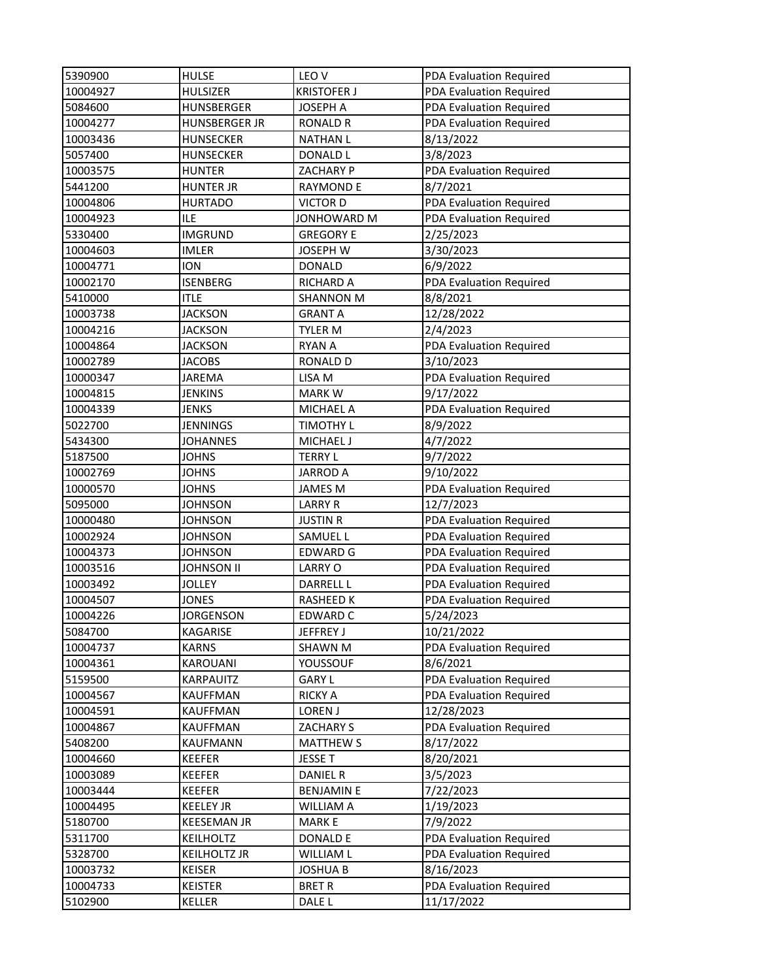| 5390900  | <b>HULSE</b>         | LEO <sub>V</sub>   | PDA Evaluation Required        |
|----------|----------------------|--------------------|--------------------------------|
| 10004927 | <b>HULSIZER</b>      | <b>KRISTOFER J</b> | PDA Evaluation Required        |
| 5084600  | HUNSBERGER           | <b>JOSEPH A</b>    | <b>PDA Evaluation Required</b> |
| 10004277 | <b>HUNSBERGER JR</b> | <b>RONALD R</b>    | PDA Evaluation Required        |
| 10003436 | <b>HUNSECKER</b>     | <b>NATHAN L</b>    | 8/13/2022                      |
| 5057400  | <b>HUNSECKER</b>     | DONALD L           | 3/8/2023                       |
| 10003575 | <b>HUNTER</b>        | ZACHARY P          | PDA Evaluation Required        |
| 5441200  | <b>HUNTER JR</b>     | <b>RAYMOND E</b>   | 8/7/2021                       |
| 10004806 | <b>HURTADO</b>       | <b>VICTOR D</b>    | <b>PDA Evaluation Required</b> |
| 10004923 | <b>ILE</b>           | JONHOWARD M        | PDA Evaluation Required        |
| 5330400  | <b>IMGRUND</b>       | <b>GREGORY E</b>   | 2/25/2023                      |
| 10004603 | <b>IMLER</b>         | <b>JOSEPH W</b>    | 3/30/2023                      |
| 10004771 | <b>ION</b>           | <b>DONALD</b>      | 6/9/2022                       |
| 10002170 | <b>ISENBERG</b>      | <b>RICHARD A</b>   | PDA Evaluation Required        |
| 5410000  | <b>ITLE</b>          | <b>SHANNON M</b>   | 8/8/2021                       |
| 10003738 | <b>JACKSON</b>       | <b>GRANT A</b>     | 12/28/2022                     |
| 10004216 | <b>JACKSON</b>       | TYLER M            | 2/4/2023                       |
| 10004864 | <b>JACKSON</b>       | <b>RYAN A</b>      | PDA Evaluation Required        |
| 10002789 | <b>JACOBS</b>        | <b>RONALD D</b>    | 3/10/2023                      |
| 10000347 | JAREMA               | LISA M             | PDA Evaluation Required        |
| 10004815 | <b>JENKINS</b>       | <b>MARKW</b>       | 9/17/2022                      |
| 10004339 | JENKS                | <b>MICHAEL A</b>   | PDA Evaluation Required        |
| 5022700  | <b>JENNINGS</b>      | <b>TIMOTHY L</b>   | 8/9/2022                       |
| 5434300  | <b>JOHANNES</b>      | MICHAEL J          | 4/7/2022                       |
| 5187500  | <b>JOHNS</b>         | <b>TERRY L</b>     | 9/7/2022                       |
| 10002769 | JOHNS                | <b>JARROD A</b>    | 9/10/2022                      |
| 10000570 | <b>JOHNS</b>         | <b>JAMES M</b>     | PDA Evaluation Required        |
| 5095000  | <b>JOHNSON</b>       | <b>LARRY R</b>     | 12/7/2023                      |
| 10000480 | <b>JOHNSON</b>       | <b>JUSTIN R</b>    | PDA Evaluation Required        |
| 10002924 | JOHNSON              | SAMUEL L           | PDA Evaluation Required        |
| 10004373 | <b>JOHNSON</b>       | <b>EDWARD G</b>    | <b>PDA Evaluation Required</b> |
| 10003516 | <b>JOHNSON II</b>    | <b>LARRY O</b>     | PDA Evaluation Required        |
| 10003492 | JOLLEY               | <b>DARRELL L</b>   | PDA Evaluation Required        |
| 10004507 | <b>JONES</b>         | <b>RASHEED K</b>   | PDA Evaluation Required        |
| 10004226 | JORGENSON            | <b>EDWARD C</b>    | 5/24/2023                      |
| 5084700  | KAGARISE             | JEFFREY J          | 10/21/2022                     |
| 10004737 | <b>KARNS</b>         | <b>SHAWN M</b>     | PDA Evaluation Required        |
| 10004361 | KAROUANI             | YOUSSOUF           | 8/6/2021                       |
| 5159500  | KARPAUITZ            | <b>GARY L</b>      | PDA Evaluation Required        |
| 10004567 | KAUFFMAN             | <b>RICKY A</b>     | PDA Evaluation Required        |
| 10004591 | <b>KAUFFMAN</b>      | LOREN J            | 12/28/2023                     |
| 10004867 | KAUFFMAN             | <b>ZACHARY S</b>   | PDA Evaluation Required        |
| 5408200  | KAUFMANN             | <b>MATTHEW S</b>   | 8/17/2022                      |
| 10004660 | KEEFER               | JESSE T            | 8/20/2021                      |
| 10003089 | KEEFER               | <b>DANIEL R</b>    | 3/5/2023                       |
| 10003444 | <b>KEEFER</b>        | <b>BENJAMIN E</b>  | 7/22/2023                      |
| 10004495 | <b>KEELEY JR</b>     | <b>WILLIAM A</b>   | 1/19/2023                      |
| 5180700  | <b>KEESEMAN JR</b>   | <b>MARKE</b>       | 7/9/2022                       |
| 5311700  | KEILHOLTZ            | <b>DONALD E</b>    | PDA Evaluation Required        |
| 5328700  | <b>KEILHOLTZ JR</b>  | WILLIAM L          | PDA Evaluation Required        |
| 10003732 | KEISER               | <b>JOSHUA B</b>    | 8/16/2023                      |
| 10004733 | <b>KEISTER</b>       | <b>BRET R</b>      | PDA Evaluation Required        |
| 5102900  | KELLER               | DALE L             | 11/17/2022                     |
|          |                      |                    |                                |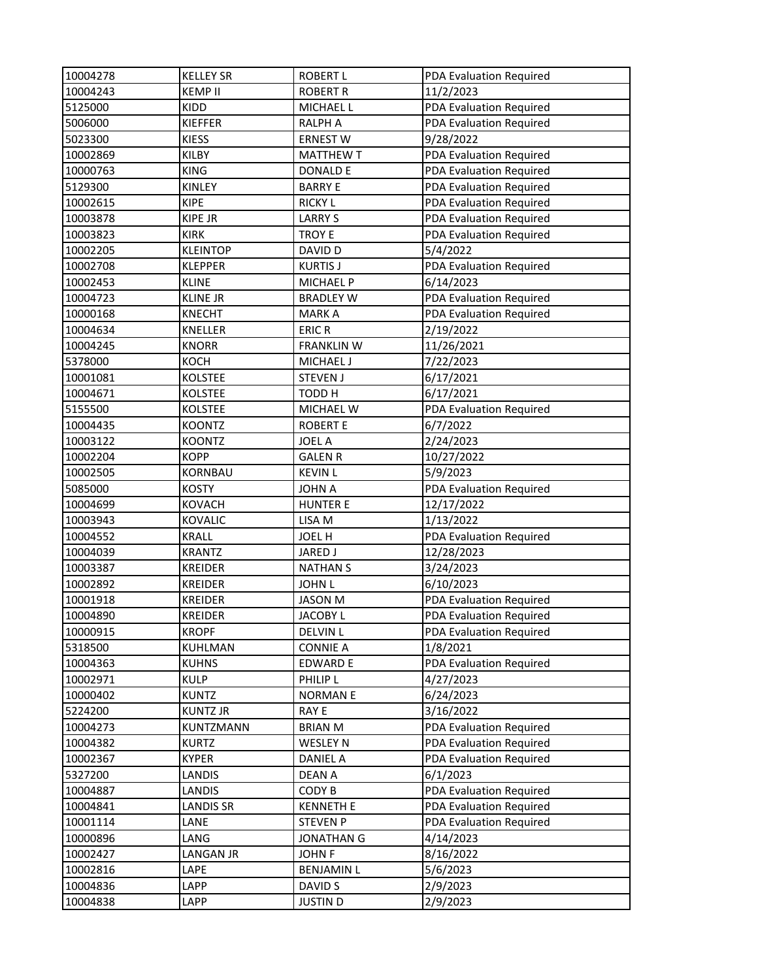| 10004278 | <b>KELLEY SR</b> | <b>ROBERT L</b>   | PDA Evaluation Required |
|----------|------------------|-------------------|-------------------------|
| 10004243 | <b>KEMP II</b>   | <b>ROBERT R</b>   | 11/2/2023               |
| 5125000  | KIDD             | MICHAEL L         | PDA Evaluation Required |
| 5006000  | <b>KIEFFER</b>   | <b>RALPH A</b>    | PDA Evaluation Required |
| 5023300  | <b>KIESS</b>     | <b>ERNEST W</b>   | 9/28/2022               |
| 10002869 | KILBY            | <b>MATTHEW T</b>  | PDA Evaluation Required |
| 10000763 | <b>KING</b>      | <b>DONALD E</b>   | PDA Evaluation Required |
| 5129300  | <b>KINLEY</b>    | <b>BARRY E</b>    | PDA Evaluation Required |
| 10002615 | <b>KIPE</b>      | <b>RICKY L</b>    | PDA Evaluation Required |
| 10003878 | <b>KIPE JR</b>   | <b>LARRY S</b>    | PDA Evaluation Required |
| 10003823 | <b>KIRK</b>      | <b>TROY E</b>     | PDA Evaluation Required |
| 10002205 | <b>KLEINTOP</b>  | DAVID D           | 5/4/2022                |
| 10002708 | <b>KLEPPER</b>   | <b>KURTIS J</b>   | PDA Evaluation Required |
| 10002453 | <b>KLINE</b>     | <b>MICHAEL P</b>  | 6/14/2023               |
| 10004723 | <b>KLINE JR</b>  | <b>BRADLEY W</b>  | PDA Evaluation Required |
| 10000168 | <b>KNECHT</b>    | <b>MARKA</b>      | PDA Evaluation Required |
| 10004634 | KNELLER          | <b>ERIC R</b>     | 2/19/2022               |
| 10004245 | <b>KNORR</b>     | <b>FRANKLIN W</b> | 11/26/2021              |
| 5378000  | KOCH             | MICHAEL J         | 7/22/2023               |
| 10001081 | <b>KOLSTEE</b>   | <b>STEVEN J</b>   | 6/17/2021               |
| 10004671 | <b>KOLSTEE</b>   | TODD H            | 6/17/2021               |
| 5155500  | <b>KOLSTEE</b>   | MICHAEL W         | PDA Evaluation Required |
| 10004435 | <b>KOONTZ</b>    | <b>ROBERT E</b>   | 6/7/2022                |
| 10003122 | <b>KOONTZ</b>    | <b>JOEL A</b>     | 2/24/2023               |
| 10002204 | <b>KOPP</b>      | <b>GALEN R</b>    | 10/27/2022              |
| 10002505 | KORNBAU          | <b>KEVIN L</b>    | 5/9/2023                |
| 5085000  | <b>KOSTY</b>     | <b>JOHN A</b>     | PDA Evaluation Required |
| 10004699 | <b>KOVACH</b>    | <b>HUNTER E</b>   | 12/17/2022              |
| 10003943 | <b>KOVALIC</b>   | LISA M            | 1/13/2022               |
| 10004552 | <b>KRALL</b>     | JOEL H            | PDA Evaluation Required |
| 10004039 | <b>KRANTZ</b>    | <b>JARED J</b>    | 12/28/2023              |
| 10003387 | <b>KREIDER</b>   | <b>NATHAN S</b>   | 3/24/2023               |
| 10002892 | <b>KREIDER</b>   | <b>JOHN L</b>     | 6/10/2023               |
| 10001918 | <b>KREIDER</b>   | <b>JASON M</b>    | PDA Evaluation Required |
| 10004890 | <b>KREIDER</b>   | <b>JACOBY L</b>   | PDA Evaluation Required |
| 10000915 | <b>KROPF</b>     | <b>DELVIN L</b>   | PDA Evaluation Required |
| 5318500  | KUHLMAN          | <b>CONNIE A</b>   | 1/8/2021                |
| 10004363 | <b>KUHNS</b>     | <b>EDWARD E</b>   | PDA Evaluation Required |
| 10002971 | <b>KULP</b>      | PHILIP L          | 4/27/2023               |
| 10000402 | <b>KUNTZ</b>     | <b>NORMANE</b>    | 6/24/2023               |
| 5224200  | <b>KUNTZ JR</b>  | RAY E             | 3/16/2022               |
| 10004273 | KUNTZMANN        | <b>BRIAN M</b>    | PDA Evaluation Required |
| 10004382 | <b>KURTZ</b>     | <b>WESLEY N</b>   | PDA Evaluation Required |
| 10002367 | KYPER            | DANIEL A          | PDA Evaluation Required |
| 5327200  | LANDIS           | <b>DEAN A</b>     | 6/1/2023                |
| 10004887 | LANDIS           | CODY B            | PDA Evaluation Required |
| 10004841 | <b>LANDIS SR</b> | <b>KENNETH E</b>  | PDA Evaluation Required |
| 10001114 | LANE             | <b>STEVEN P</b>   | PDA Evaluation Required |
| 10000896 | LANG             | <b>JONATHAN G</b> | 4/14/2023               |
| 10002427 | LANGAN JR        | <b>JOHN F</b>     | 8/16/2022               |
| 10002816 | LAPE             | <b>BENJAMIN L</b> | 5/6/2023                |
| 10004836 | LAPP             | DAVID S           | 2/9/2023                |
| 10004838 | LAPP             | <b>JUSTIN D</b>   | 2/9/2023                |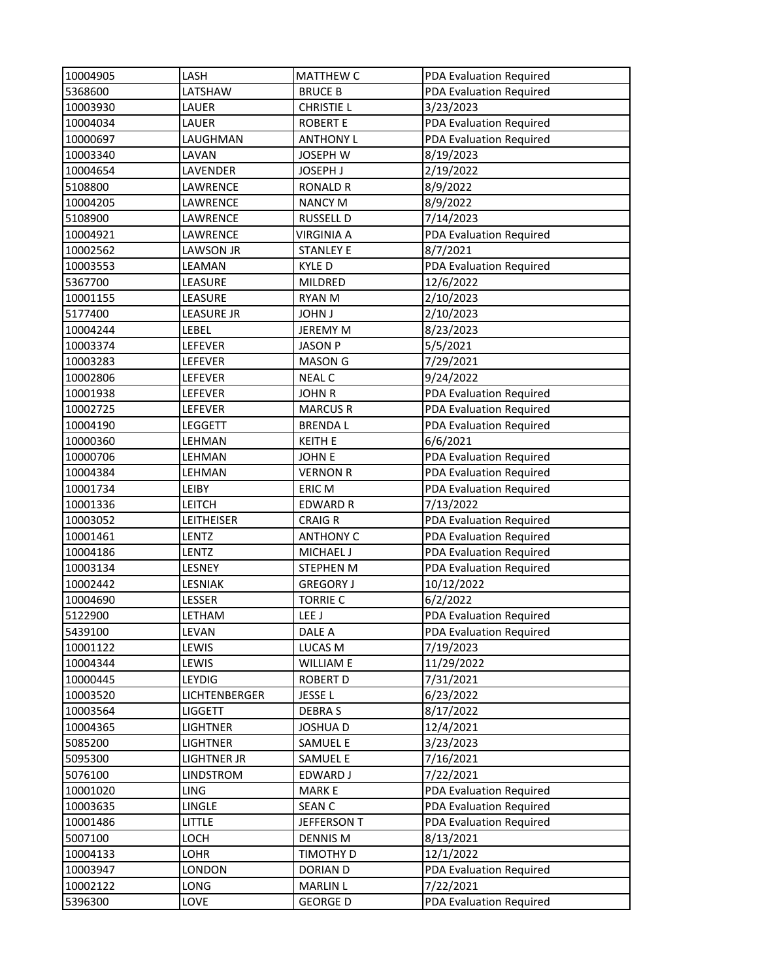| 10004905 | LASH              | <b>MATTHEW C</b>  | PDA Evaluation Required |
|----------|-------------------|-------------------|-------------------------|
| 5368600  | LATSHAW           | <b>BRUCE B</b>    | PDA Evaluation Required |
| 10003930 | LAUER             | <b>CHRISTIE L</b> | 3/23/2023               |
| 10004034 | LAUER             | <b>ROBERT E</b>   | PDA Evaluation Required |
| 10000697 | LAUGHMAN          | <b>ANTHONY L</b>  | PDA Evaluation Required |
| 10003340 | LAVAN             | JOSEPH W          | 8/19/2023               |
| 10004654 | LAVENDER          | JOSEPH J          | 2/19/2022               |
| 5108800  | LAWRENCE          | <b>RONALD R</b>   | 8/9/2022                |
| 10004205 | LAWRENCE          | <b>NANCY M</b>    | 8/9/2022                |
| 5108900  | LAWRENCE          | <b>RUSSELL D</b>  | 7/14/2023               |
| 10004921 | LAWRENCE          | <b>VIRGINIA A</b> | PDA Evaluation Required |
| 10002562 | LAWSON JR         | <b>STANLEY E</b>  | 8/7/2021                |
| 10003553 | LEAMAN            | <b>KYLED</b>      | PDA Evaluation Required |
| 5367700  | LEASURE           | MILDRED           | 12/6/2022               |
| 10001155 | LEASURE           | RYAN M            | 2/10/2023               |
| 5177400  | LEASURE JR        | <b>JOHN J</b>     | 2/10/2023               |
| 10004244 | LEBEL             | <b>JEREMY M</b>   | 8/23/2023               |
| 10003374 | LEFEVER           | <b>JASON P</b>    | 5/5/2021                |
| 10003283 | LEFEVER           | <b>MASON G</b>    | 7/29/2021               |
| 10002806 | LEFEVER           | <b>NEAL C</b>     | 9/24/2022               |
| 10001938 | LEFEVER           | <b>JOHN R</b>     | PDA Evaluation Required |
| 10002725 | LEFEVER           | <b>MARCUS R</b>   | PDA Evaluation Required |
| 10004190 | LEGGETT           | <b>BRENDAL</b>    | PDA Evaluation Required |
| 10000360 | LEHMAN            | <b>KEITH E</b>    | 6/6/2021                |
| 10000706 | LEHMAN            | <b>JOHN E</b>     | PDA Evaluation Required |
| 10004384 | LEHMAN            | <b>VERNON R</b>   | PDA Evaluation Required |
| 10001734 | LEIBY             | ERIC M            | PDA Evaluation Required |
| 10001336 | LEITCH            | <b>EDWARD R</b>   | 7/13/2022               |
| 10003052 | <b>LEITHEISER</b> | <b>CRAIG R</b>    | PDA Evaluation Required |
| 10001461 | LENTZ             | <b>ANTHONY C</b>  | PDA Evaluation Required |
| 10004186 | LENTZ             | <b>MICHAEL J</b>  | PDA Evaluation Required |
| 10003134 | LESNEY            | STEPHEN M         | PDA Evaluation Required |
| 10002442 | <b>LESNIAK</b>    | <b>GREGORY J</b>  | 10/12/2022              |
| 10004690 | LESSER            | <b>TORRIE C</b>   | 6/2/2022                |
| 5122900  | LETHAM            | LEE J             | PDA Evaluation Required |
| 5439100  | LEVAN             | DALE A            | PDA Evaluation Required |
| 10001122 | LEWIS             | LUCAS M           | 7/19/2023               |
| 10004344 | LEWIS             | WILLIAM E         | 11/29/2022              |
| 10000445 | LEYDIG            | <b>ROBERT D</b>   | 7/31/2021               |
| 10003520 | LICHTENBERGER     | JESSE L           | 6/23/2022               |
| 10003564 | LIGGETT           | <b>DEBRAS</b>     | 8/17/2022               |
| 10004365 | <b>LIGHTNER</b>   | <b>JOSHUA D</b>   | 12/4/2021               |
| 5085200  | <b>LIGHTNER</b>   | <b>SAMUEL E</b>   | 3/23/2023               |
| 5095300  | LIGHTNER JR       | SAMUEL E          | 7/16/2021               |
| 5076100  | <b>LINDSTROM</b>  | EDWARD J          | 7/22/2021               |
| 10001020 | LING              | <b>MARKE</b>      | PDA Evaluation Required |
| 10003635 | LINGLE            | <b>SEAN C</b>     | PDA Evaluation Required |
| 10001486 | LITTLE            | JEFFERSON T       | PDA Evaluation Required |
| 5007100  | LOCH              | <b>DENNIS M</b>   | 8/13/2021               |
| 10004133 | LOHR              | TIMOTHY D         | 12/1/2022               |
| 10003947 | LONDON            | DORIAN D          | PDA Evaluation Required |
| 10002122 | LONG              | <b>MARLIN L</b>   | 7/22/2021               |
| 5396300  | LOVE              | <b>GEORGE D</b>   | PDA Evaluation Required |
|          |                   |                   |                         |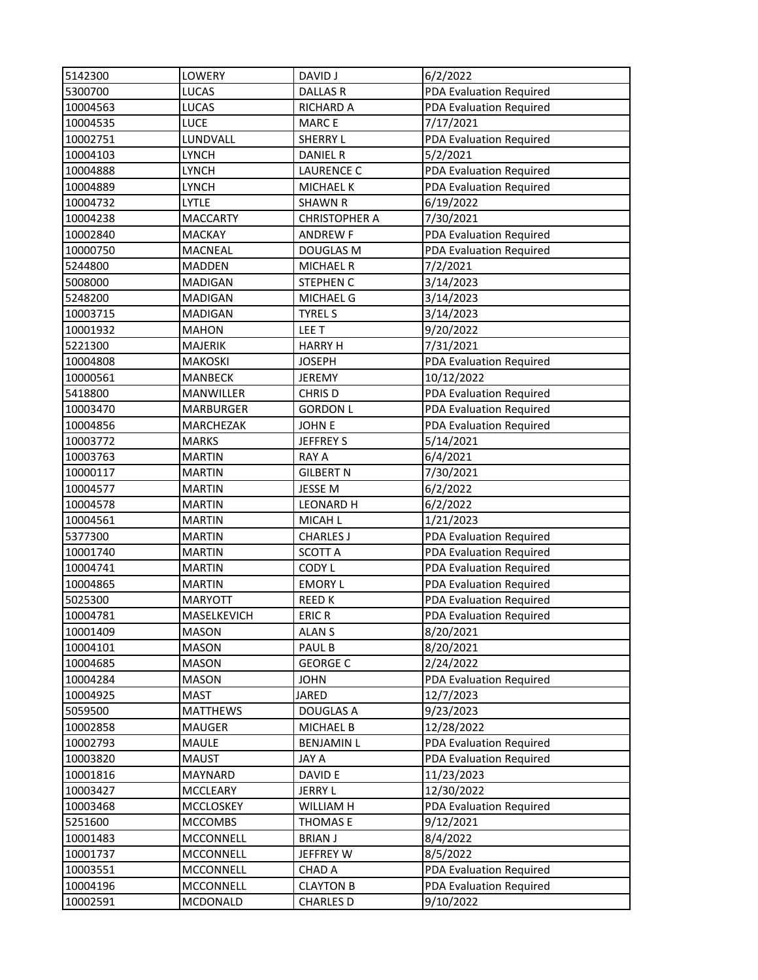| 5142300  | LOWERY             | <b>DAVID J</b>       | 6/2/2022                |
|----------|--------------------|----------------------|-------------------------|
| 5300700  | <b>LUCAS</b>       | <b>DALLAS R</b>      | PDA Evaluation Required |
| 10004563 | <b>LUCAS</b>       | <b>RICHARD A</b>     | PDA Evaluation Required |
| 10004535 | <b>LUCE</b>        | <b>MARCE</b>         | 7/17/2021               |
| 10002751 | LUNDVALL           | <b>SHERRY L</b>      | PDA Evaluation Required |
| 10004103 | <b>LYNCH</b>       | <b>DANIEL R</b>      | 5/2/2021                |
| 10004888 | <b>LYNCH</b>       | <b>LAURENCE C</b>    | PDA Evaluation Required |
| 10004889 | <b>LYNCH</b>       | <b>MICHAEL K</b>     | PDA Evaluation Required |
| 10004732 | <b>LYTLE</b>       | <b>SHAWN R</b>       | 6/19/2022               |
| 10004238 | <b>MACCARTY</b>    | <b>CHRISTOPHER A</b> | 7/30/2021               |
| 10002840 | <b>MACKAY</b>      | <b>ANDREW F</b>      | PDA Evaluation Required |
| 10000750 | <b>MACNEAL</b>     | <b>DOUGLAS M</b>     | PDA Evaluation Required |
| 5244800  | <b>MADDEN</b>      | <b>MICHAEL R</b>     | 7/2/2021                |
| 5008000  | <b>MADIGAN</b>     | <b>STEPHEN C</b>     | 3/14/2023               |
| 5248200  | <b>MADIGAN</b>     | MICHAEL G            | 3/14/2023               |
| 10003715 | MADIGAN            | <b>TYREL S</b>       | 3/14/2023               |
| 10001932 | <b>MAHON</b>       | LEE T                | 9/20/2022               |
| 5221300  | <b>MAJERIK</b>     | <b>HARRY H</b>       | 7/31/2021               |
| 10004808 | <b>MAKOSKI</b>     | <b>JOSEPH</b>        | PDA Evaluation Required |
| 10000561 | MANBECK            | <b>JEREMY</b>        | 10/12/2022              |
| 5418800  | MANWILLER          | CHRIS D              | PDA Evaluation Required |
| 10003470 | <b>MARBURGER</b>   | <b>GORDON L</b>      | PDA Evaluation Required |
| 10004856 | MARCHEZAK          | <b>JOHN E</b>        | PDA Evaluation Required |
| 10003772 | <b>MARKS</b>       | <b>JEFFREY S</b>     | 5/14/2021               |
| 10003763 | <b>MARTIN</b>      | <b>RAY A</b>         | 6/4/2021                |
| 10000117 | <b>MARTIN</b>      | <b>GILBERT N</b>     | 7/30/2021               |
| 10004577 | <b>MARTIN</b>      | JESSE M              | 6/2/2022                |
| 10004578 | <b>MARTIN</b>      | <b>LEONARD H</b>     | 6/2/2022                |
| 10004561 | <b>MARTIN</b>      | MICAH L              | 1/21/2023               |
| 5377300  | <b>MARTIN</b>      | <b>CHARLES J</b>     | PDA Evaluation Required |
| 10001740 | <b>MARTIN</b>      | <b>SCOTT A</b>       | PDA Evaluation Required |
| 10004741 | <b>MARTIN</b>      | CODY L               | PDA Evaluation Required |
| 10004865 | <b>MARTIN</b>      | <b>EMORY L</b>       | PDA Evaluation Required |
| 5025300  | <b>MARYOTT</b>     | <b>REEDK</b>         | PDA Evaluation Required |
| 10004781 | <b>MASELKEVICH</b> | <b>ERIC R</b>        | PDA Evaluation Required |
| 10001409 | <b>MASON</b>       | ALAN S               | 8/20/2021               |
| 10004101 | <b>MASON</b>       | PAUL B               | 8/20/2021               |
| 10004685 | <b>MASON</b>       | <b>GEORGE C</b>      | 2/24/2022               |
| 10004284 | <b>MASON</b>       | <b>JOHN</b>          | PDA Evaluation Required |
| 10004925 | <b>MAST</b>        | JARED                | 12/7/2023               |
| 5059500  | <b>MATTHEWS</b>    | <b>DOUGLAS A</b>     | 9/23/2023               |
| 10002858 | <b>MAUGER</b>      | <b>MICHAEL B</b>     | 12/28/2022              |
| 10002793 | MAULE              | <b>BENJAMIN L</b>    | PDA Evaluation Required |
| 10003820 | <b>MAUST</b>       | JAY A                | PDA Evaluation Required |
| 10001816 | MAYNARD            | DAVID E              | 11/23/2023              |
| 10003427 | MCCLEARY           | JERRY L              | 12/30/2022              |
| 10003468 | MCCLOSKEY          | WILLIAM H            | PDA Evaluation Required |
| 5251600  | <b>MCCOMBS</b>     | THOMAS E             | 9/12/2021               |
| 10001483 | MCCONNELL          | <b>BRIAN J</b>       | 8/4/2022                |
| 10001737 | MCCONNELL          | JEFFREY W            | 8/5/2022                |
| 10003551 | MCCONNELL          | CHAD A               | PDA Evaluation Required |
| 10004196 | MCCONNELL          | <b>CLAYTON B</b>     | PDA Evaluation Required |
| 10002591 | MCDONALD           | <b>CHARLES D</b>     | 9/10/2022               |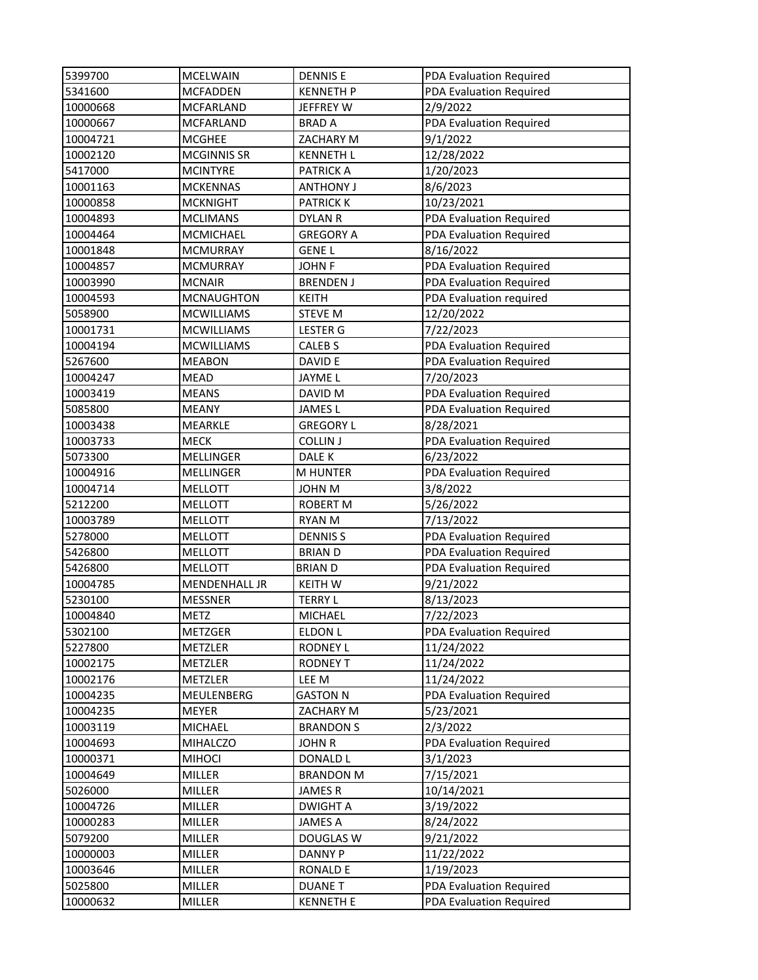| 5399700  | <b>MCELWAIN</b>      | <b>DENNIS E</b>    | PDA Evaluation Required |
|----------|----------------------|--------------------|-------------------------|
| 5341600  | <b>MCFADDEN</b>      | <b>KENNETH P</b>   | PDA Evaluation Required |
| 10000668 | <b>MCFARLAND</b>     | JEFFREY W          | 2/9/2022                |
| 10000667 | MCFARLAND            | <b>BRAD A</b>      | PDA Evaluation Required |
| 10004721 | <b>MCGHEE</b>        | ZACHARY M          | 9/1/2022                |
| 10002120 | <b>MCGINNIS SR</b>   | <b>KENNETH L</b>   | 12/28/2022              |
| 5417000  | <b>MCINTYRE</b>      | <b>PATRICK A</b>   | 1/20/2023               |
| 10001163 | <b>MCKENNAS</b>      | <b>ANTHONY J</b>   | 8/6/2023                |
| 10000858 | <b>MCKNIGHT</b>      | <b>PATRICK K</b>   | 10/23/2021              |
| 10004893 | <b>MCLIMANS</b>      | <b>DYLAN R</b>     | PDA Evaluation Required |
| 10004464 | MCMICHAEL            | <b>GREGORY A</b>   | PDA Evaluation Required |
| 10001848 | <b>MCMURRAY</b>      | <b>GENEL</b>       | 8/16/2022               |
| 10004857 | <b>MCMURRAY</b>      | <b>JOHN F</b>      | PDA Evaluation Required |
| 10003990 | <b>MCNAIR</b>        | <b>BRENDEN J</b>   | PDA Evaluation Required |
| 10004593 | <b>MCNAUGHTON</b>    | <b>KEITH</b>       | PDA Evaluation required |
| 5058900  | <b>MCWILLIAMS</b>    | <b>STEVE M</b>     | 12/20/2022              |
| 10001731 | <b>MCWILLIAMS</b>    | <b>LESTER G</b>    | 7/22/2023               |
| 10004194 | <b>MCWILLIAMS</b>    | CALEB <sub>S</sub> | PDA Evaluation Required |
| 5267600  | <b>MEABON</b>        | DAVID E            | PDA Evaluation Required |
| 10004247 | <b>MEAD</b>          | JAYME L            | 7/20/2023               |
| 10003419 | <b>MEANS</b>         | DAVID M            | PDA Evaluation Required |
| 5085800  | <b>MEANY</b>         | <b>JAMES L</b>     | PDA Evaluation Required |
| 10003438 | MEARKLE              | <b>GREGORY L</b>   | 8/28/2021               |
| 10003733 | <b>MECK</b>          | <b>COLLIN J</b>    | PDA Evaluation Required |
| 5073300  | MELLINGER            | DALE K             | 6/23/2022               |
| 10004916 | MELLINGER            | <b>M HUNTER</b>    | PDA Evaluation Required |
| 10004714 | <b>MELLOTT</b>       | <b>JOHN M</b>      | 3/8/2022                |
| 5212200  | <b>MELLOTT</b>       | <b>ROBERT M</b>    | 5/26/2022               |
| 10003789 | <b>MELLOTT</b>       | <b>RYAN M</b>      | 7/13/2022               |
| 5278000  | <b>MELLOTT</b>       | <b>DENNISS</b>     | PDA Evaluation Required |
| 5426800  | <b>MELLOTT</b>       | <b>BRIAND</b>      | PDA Evaluation Required |
| 5426800  | <b>MELLOTT</b>       | <b>BRIAN D</b>     | PDA Evaluation Required |
| 10004785 | <b>MENDENHALL JR</b> | <b>KEITH W</b>     | 9/21/2022               |
| 5230100  | <b>MESSNER</b>       | <b>TERRY L</b>     | 8/13/2023               |
| 10004840 | <b>METZ</b>          | <b>MICHAEL</b>     | 7/22/2023               |
| 5302100  | METZGER              | <b>ELDON L</b>     | PDA Evaluation Required |
| 5227800  | METZLER              | <b>RODNEY L</b>    | 11/24/2022              |
| 10002175 | METZLER              | <b>RODNEY T</b>    | 11/24/2022              |
| 10002176 | METZLER              | LEE M              | 11/24/2022              |
| 10004235 | MEULENBERG           | <b>GASTON N</b>    | PDA Evaluation Required |
| 10004235 | MEYER                | ZACHARY M          | 5/23/2021               |
| 10003119 | <b>MICHAEL</b>       | <b>BRANDON S</b>   | 2/3/2022                |
| 10004693 | MIHALCZO             | <b>JOHN R</b>      | PDA Evaluation Required |
| 10000371 | <b>MIHOCI</b>        | DONALD L           | 3/1/2023                |
| 10004649 | <b>MILLER</b>        | <b>BRANDON M</b>   | 7/15/2021               |
| 5026000  | MILLER               | <b>JAMESR</b>      | 10/14/2021              |
| 10004726 | MILLER               | <b>DWIGHT A</b>    | 3/19/2022               |
| 10000283 | MILLER               | <b>JAMES A</b>     | 8/24/2022               |
| 5079200  | MILLER               | DOUGLAS W          | 9/21/2022               |
| 10000003 | MILLER               | <b>DANNY P</b>     | 11/22/2022              |
| 10003646 | MILLER               | <b>RONALD E</b>    | 1/19/2023               |
| 5025800  | MILLER               | <b>DUANET</b>      | PDA Evaluation Required |
| 10000632 | MILLER               | <b>KENNETH E</b>   | PDA Evaluation Required |
|          |                      |                    |                         |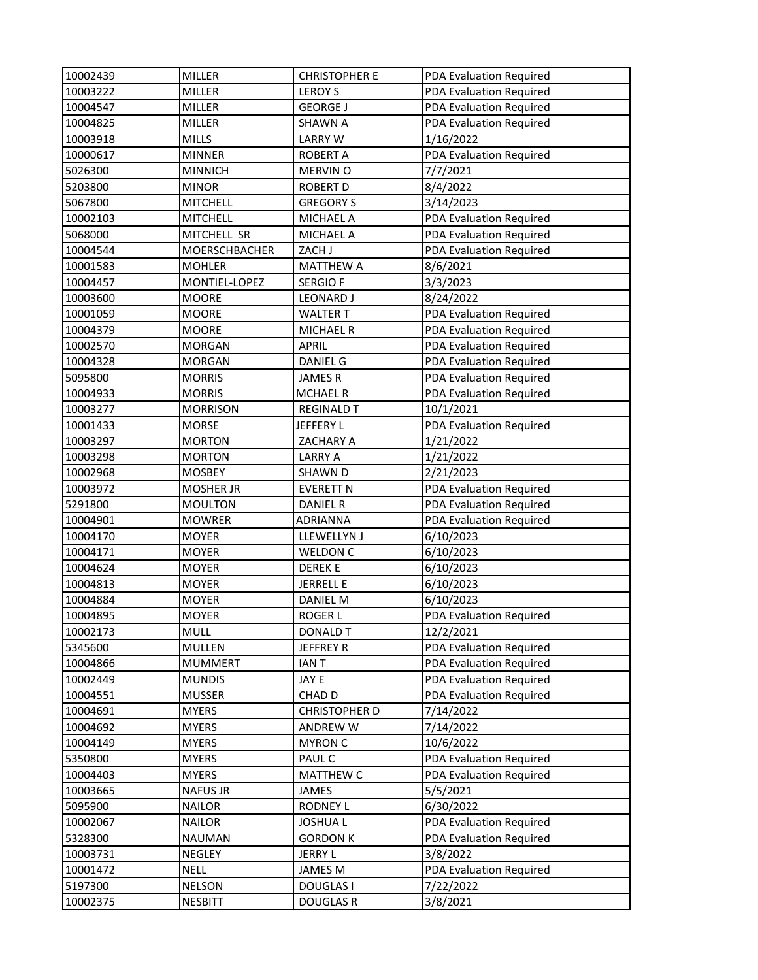| 10002439 | <b>MILLER</b>   | <b>CHRISTOPHER E</b> | PDA Evaluation Required |
|----------|-----------------|----------------------|-------------------------|
| 10003222 | <b>MILLER</b>   | <b>LEROY S</b>       | PDA Evaluation Required |
| 10004547 | <b>MILLER</b>   | <b>GEORGE J</b>      | PDA Evaluation Required |
| 10004825 | <b>MILLER</b>   | <b>SHAWN A</b>       | PDA Evaluation Required |
| 10003918 | <b>MILLS</b>    | <b>LARRY W</b>       | 1/16/2022               |
| 10000617 | <b>MINNER</b>   | <b>ROBERT A</b>      | PDA Evaluation Required |
| 5026300  | <b>MINNICH</b>  | <b>MERVIN O</b>      | 7/7/2021                |
| 5203800  | <b>MINOR</b>    | <b>ROBERT D</b>      | 8/4/2022                |
| 5067800  | <b>MITCHELL</b> | <b>GREGORY S</b>     | 3/14/2023               |
| 10002103 | <b>MITCHELL</b> | <b>MICHAEL A</b>     | PDA Evaluation Required |
| 5068000  | MITCHELL SR     | <b>MICHAEL A</b>     | PDA Evaluation Required |
| 10004544 | MOERSCHBACHER   | ZACH J               | PDA Evaluation Required |
| 10001583 | <b>MOHLER</b>   | <b>MATTHEW A</b>     | 8/6/2021                |
| 10004457 | MONTIEL-LOPEZ   | <b>SERGIOF</b>       | 3/3/2023                |
| 10003600 | <b>MOORE</b>    | <b>LEONARD J</b>     | 8/24/2022               |
| 10001059 | <b>MOORE</b>    | <b>WALTER T</b>      | PDA Evaluation Required |
| 10004379 | <b>MOORE</b>    | <b>MICHAEL R</b>     | PDA Evaluation Required |
| 10002570 | <b>MORGAN</b>   | <b>APRIL</b>         | PDA Evaluation Required |
| 10004328 | <b>MORGAN</b>   | DANIEL G             | PDA Evaluation Required |
| 5095800  | <b>MORRIS</b>   | <b>JAMESR</b>        | PDA Evaluation Required |
| 10004933 | <b>MORRIS</b>   | <b>MCHAEL R</b>      | PDA Evaluation Required |
| 10003277 | <b>MORRISON</b> | <b>REGINALD T</b>    | 10/1/2021               |
| 10001433 | <b>MORSE</b>    | JEFFERY L            | PDA Evaluation Required |
| 10003297 | <b>MORTON</b>   | ZACHARY A            | 1/21/2022               |
| 10003298 | <b>MORTON</b>   | <b>LARRY A</b>       | 1/21/2022               |
| 10002968 | <b>MOSBEY</b>   | <b>SHAWN D</b>       | 2/21/2023               |
| 10003972 | MOSHER JR       | <b>EVERETT N</b>     | PDA Evaluation Required |
| 5291800  | <b>MOULTON</b>  | <b>DANIEL R</b>      | PDA Evaluation Required |
| 10004901 | <b>MOWRER</b>   | <b>ADRIANNA</b>      | PDA Evaluation Required |
| 10004170 | <b>MOYER</b>    | LLEWELLYN J          | 6/10/2023               |
| 10004171 | <b>MOYER</b>    | <b>WELDON C</b>      | 6/10/2023               |
| 10004624 | <b>MOYER</b>    | <b>DEREKE</b>        | 6/10/2023               |
| 10004813 | <b>MOYER</b>    | <b>JERRELL E</b>     | 6/10/2023               |
| 10004884 | <b>MOYER</b>    | <b>DANIEL M</b>      | 6/10/2023               |
| 10004895 | <b>MOYER</b>    | <b>ROGER L</b>       | PDA Evaluation Required |
| 10002173 | MULL            | <b>DONALD T</b>      | 12/2/2021               |
| 5345600  | <b>MULLEN</b>   | <b>JEFFREY R</b>     | PDA Evaluation Required |
| 10004866 | <b>MUMMERT</b>  | <b>IANT</b>          | PDA Evaluation Required |
| 10002449 | <b>MUNDIS</b>   | JAY E                | PDA Evaluation Required |
| 10004551 | <b>MUSSER</b>   | CHAD D               | PDA Evaluation Required |
| 10004691 | <b>MYERS</b>    | <b>CHRISTOPHER D</b> | 7/14/2022               |
| 10004692 | <b>MYERS</b>    | ANDREW W             | 7/14/2022               |
| 10004149 | <b>MYERS</b>    | <b>MYRON C</b>       | 10/6/2022               |
| 5350800  | <b>MYERS</b>    | PAUL C               | PDA Evaluation Required |
| 10004403 | <b>MYERS</b>    | MATTHEW C            | PDA Evaluation Required |
| 10003665 | <b>NAFUS JR</b> | JAMES                | 5/5/2021                |
| 5095900  | <b>NAILOR</b>   | <b>RODNEY L</b>      | 6/30/2022               |
| 10002067 | <b>NAILOR</b>   | <b>JOSHUAL</b>       | PDA Evaluation Required |
| 5328300  | NAUMAN          | <b>GORDON K</b>      | PDA Evaluation Required |
| 10003731 | NEGLEY          | <b>JERRY L</b>       | 3/8/2022                |
| 10001472 | <b>NELL</b>     | JAMES M              | PDA Evaluation Required |
| 5197300  | <b>NELSON</b>   | <b>DOUGLAS I</b>     | 7/22/2022               |
| 10002375 | <b>NESBITT</b>  | <b>DOUGLAS R</b>     | 3/8/2021                |
|          |                 |                      |                         |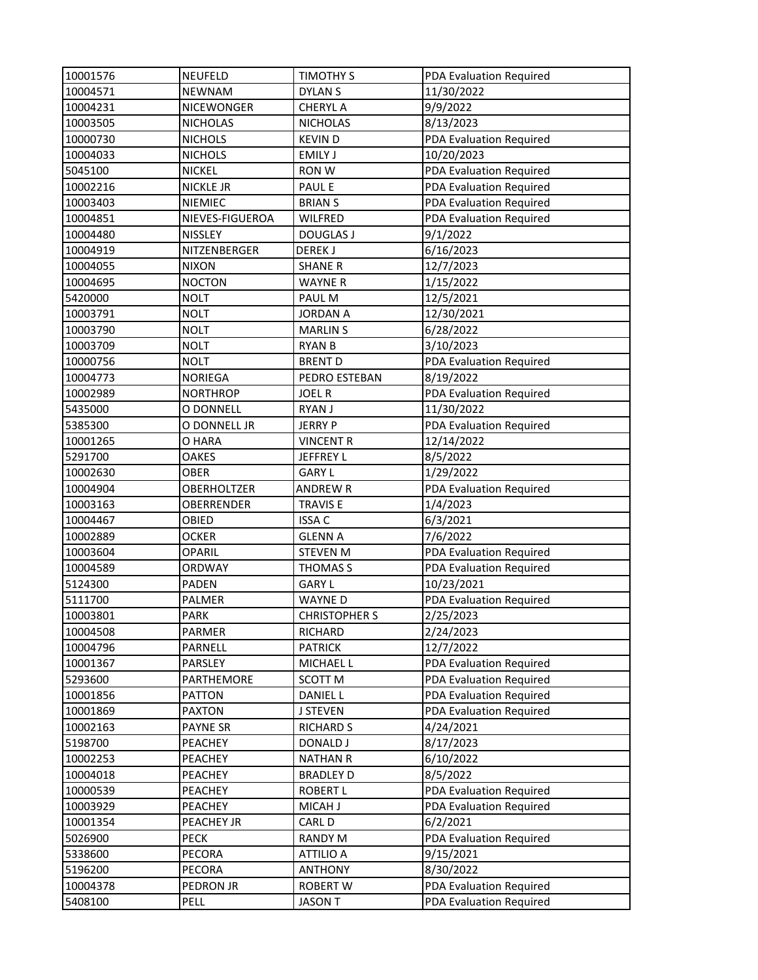| 10001576 | <b>NEUFELD</b>    | TIMOTHY S            | PDA Evaluation Required |
|----------|-------------------|----------------------|-------------------------|
| 10004571 | <b>NEWNAM</b>     | <b>DYLAN S</b>       | 11/30/2022              |
| 10004231 | <b>NICEWONGER</b> | <b>CHERYL A</b>      | 9/9/2022                |
| 10003505 | <b>NICHOLAS</b>   | <b>NICHOLAS</b>      | 8/13/2023               |
| 10000730 | <b>NICHOLS</b>    | <b>KEVIND</b>        | PDA Evaluation Required |
| 10004033 | <b>NICHOLS</b>    | <b>EMILY J</b>       | 10/20/2023              |
| 5045100  | <b>NICKEL</b>     | <b>RON W</b>         | PDA Evaluation Required |
| 10002216 | <b>NICKLE JR</b>  | <b>PAUL E</b>        | PDA Evaluation Required |
| 10003403 | NIEMIEC           | <b>BRIANS</b>        | PDA Evaluation Required |
| 10004851 | NIEVES-FIGUEROA   | WILFRED              | PDA Evaluation Required |
| 10004480 | NISSLEY           | <b>DOUGLAS J</b>     | 9/1/2022                |
| 10004919 | NITZENBERGER      | <b>DEREKJ</b>        | 6/16/2023               |
| 10004055 | <b>NIXON</b>      | <b>SHANE R</b>       | 12/7/2023               |
| 10004695 | <b>NOCTON</b>     | <b>WAYNE R</b>       | 1/15/2022               |
| 5420000  | <b>NOLT</b>       | PAUL M               | 12/5/2021               |
| 10003791 | <b>NOLT</b>       | <b>JORDAN A</b>      | 12/30/2021              |
| 10003790 | <b>NOLT</b>       | <b>MARLIN S</b>      | 6/28/2022               |
| 10003709 | <b>NOLT</b>       | <b>RYAN B</b>        | 3/10/2023               |
| 10000756 | <b>NOLT</b>       | <b>BRENT D</b>       | PDA Evaluation Required |
| 10004773 | <b>NORIEGA</b>    | PEDRO ESTEBAN        | 8/19/2022               |
| 10002989 | <b>NORTHROP</b>   | <b>JOEL R</b>        | PDA Evaluation Required |
| 5435000  | O DONNELL         | <b>RYAN J</b>        | 11/30/2022              |
| 5385300  | O DONNELL JR      | <b>JERRY P</b>       | PDA Evaluation Required |
| 10001265 | O HARA            | <b>VINCENT R</b>     | 12/14/2022              |
| 5291700  | OAKES             | JEFFREY L            | 8/5/2022                |
| 10002630 | <b>OBER</b>       | <b>GARY L</b>        | 1/29/2022               |
| 10004904 | OBERHOLTZER       | <b>ANDREW R</b>      | PDA Evaluation Required |
| 10003163 | OBERRENDER        | <b>TRAVIS E</b>      | 1/4/2023                |
| 10004467 | OBIED             | <b>ISSA C</b>        | 6/3/2021                |
| 10002889 | <b>OCKER</b>      | <b>GLENN A</b>       | 7/6/2022                |
| 10003604 | <b>OPARIL</b>     | <b>STEVEN M</b>      | PDA Evaluation Required |
| 10004589 | ORDWAY            | THOMAS <sub>S</sub>  | PDA Evaluation Required |
| 5124300  | <b>PADEN</b>      | <b>GARY L</b>        | 10/23/2021              |
| 5111700  | PALMER            | <b>WAYNED</b>        | PDA Evaluation Required |
| 10003801 | <b>PARK</b>       | <b>CHRISTOPHER S</b> | 2/25/2023               |
| 10004508 | PARMER            | RICHARD              | 2/24/2023               |
| 10004796 | PARNELL           | <b>PATRICK</b>       | 12/7/2022               |
| 10001367 | PARSLEY           | MICHAEL L            | PDA Evaluation Required |
| 5293600  | PARTHEMORE        | SCOTT M              | PDA Evaluation Required |
| 10001856 | <b>PATTON</b>     | DANIEL L             | PDA Evaluation Required |
| 10001869 | <b>PAXTON</b>     | J STEVEN             | PDA Evaluation Required |
| 10002163 | PAYNE SR          | <b>RICHARD S</b>     | 4/24/2021               |
| 5198700  | PEACHEY           | <b>DONALD J</b>      | 8/17/2023               |
| 10002253 | PEACHEY           | <b>NATHAN R</b>      | 6/10/2022               |
| 10004018 | PEACHEY           | <b>BRADLEY D</b>     | 8/5/2022                |
| 10000539 | PEACHEY           | <b>ROBERT L</b>      | PDA Evaluation Required |
| 10003929 | PEACHEY           | MICAH J              | PDA Evaluation Required |
| 10001354 | PEACHEY JR        | CARL D               | 6/2/2021                |
| 5026900  | <b>PECK</b>       | <b>RANDY M</b>       | PDA Evaluation Required |
| 5338600  | PECORA            | <b>ATTILIO A</b>     | 9/15/2021               |
| 5196200  | <b>PECORA</b>     | <b>ANTHONY</b>       | 8/30/2022               |
| 10004378 | PEDRON JR         | <b>ROBERT W</b>      | PDA Evaluation Required |
| 5408100  | <b>PELL</b>       | <b>JASON T</b>       | PDA Evaluation Required |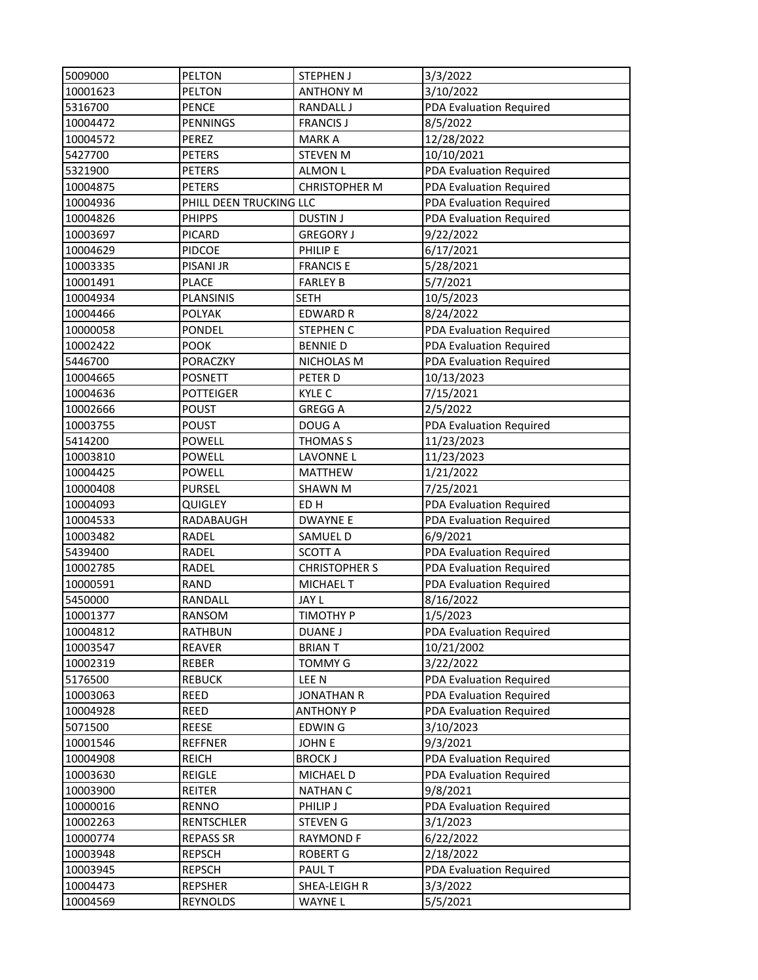| 5009000  | <b>PELTON</b>           | <b>STEPHEN J</b>     | 3/3/2022                |
|----------|-------------------------|----------------------|-------------------------|
| 10001623 | PELTON                  | <b>ANTHONY M</b>     | 3/10/2022               |
| 5316700  | <b>PENCE</b>            | RANDALL J            | PDA Evaluation Required |
| 10004472 | <b>PENNINGS</b>         | <b>FRANCIS J</b>     | 8/5/2022                |
| 10004572 | PEREZ                   | <b>MARKA</b>         | 12/28/2022              |
| 5427700  | <b>PETERS</b>           | <b>STEVEN M</b>      | 10/10/2021              |
| 5321900  | <b>PETERS</b>           | <b>ALMON L</b>       | PDA Evaluation Required |
| 10004875 | <b>PETERS</b>           | <b>CHRISTOPHER M</b> | PDA Evaluation Required |
| 10004936 | PHILL DEEN TRUCKING LLC |                      | PDA Evaluation Required |
| 10004826 | <b>PHIPPS</b>           | <b>DUSTIN J</b>      | PDA Evaluation Required |
| 10003697 | <b>PICARD</b>           | <b>GREGORY J</b>     | 9/22/2022               |
| 10004629 | <b>PIDCOE</b>           | PHILIP E             | 6/17/2021               |
| 10003335 | <b>PISANI JR</b>        | <b>FRANCIS E</b>     | 5/28/2021               |
| 10001491 | <b>PLACE</b>            | <b>FARLEY B</b>      | 5/7/2021                |
| 10004934 | PLANSINIS               | <b>SETH</b>          | 10/5/2023               |
| 10004466 | <b>POLYAK</b>           | <b>EDWARD R</b>      | 8/24/2022               |
| 10000058 | <b>PONDEL</b>           | <b>STEPHEN C</b>     | PDA Evaluation Required |
| 10002422 | <b>POOK</b>             | <b>BENNIE D</b>      | PDA Evaluation Required |
| 5446700  | <b>PORACZKY</b>         | NICHOLAS M           | PDA Evaluation Required |
| 10004665 | <b>POSNETT</b>          | PETER D              | 10/13/2023              |
| 10004636 | <b>POTTEIGER</b>        | KYLE C               | 7/15/2021               |
| 10002666 | <b>POUST</b>            | <b>GREGG A</b>       | 2/5/2022                |
| 10003755 | <b>POUST</b>            | DOUG A               | PDA Evaluation Required |
| 5414200  | <b>POWELL</b>           | <b>THOMAS S</b>      | 11/23/2023              |
| 10003810 | <b>POWELL</b>           | LAVONNE L            | 11/23/2023              |
| 10004425 | <b>POWELL</b>           | <b>MATTHEW</b>       | 1/21/2022               |
| 10000408 | <b>PURSEL</b>           | <b>SHAWN M</b>       | 7/25/2021               |
| 10004093 | QUIGLEY                 | ED <sub>H</sub>      | PDA Evaluation Required |
| 10004533 | RADABAUGH               | <b>DWAYNE E</b>      | PDA Evaluation Required |
| 10003482 | RADEL                   | SAMUEL D             | 6/9/2021                |
| 5439400  | RADEL                   | <b>SCOTT A</b>       | PDA Evaluation Required |
| 10002785 | RADEL                   | <b>CHRISTOPHER S</b> | PDA Evaluation Required |
| 10000591 | RAND                    | <b>MICHAEL T</b>     | PDA Evaluation Required |
| 5450000  | RANDALL                 | JAY L                | 8/16/2022               |
| 10001377 | <b>RANSOM</b>           | <b>TIMOTHY P</b>     | 1/5/2023                |
| 10004812 | <b>RATHBUN</b>          | DUANE J              | PDA Evaluation Required |
| 10003547 | <b>REAVER</b>           | <b>BRIANT</b>        | 10/21/2002              |
| 10002319 | REBER                   | <b>TOMMY G</b>       | 3/22/2022               |
| 5176500  | <b>REBUCK</b>           | LEE N                | PDA Evaluation Required |
| 10003063 | REED                    | <b>JONATHAN R</b>    | PDA Evaluation Required |
| 10004928 | REED                    | <b>ANTHONY P</b>     | PDA Evaluation Required |
| 5071500  | REESE                   | <b>EDWING</b>        | 3/10/2023               |
| 10001546 | <b>REFFNER</b>          | <b>JOHNE</b>         | 9/3/2021                |
| 10004908 | <b>REICH</b>            | <b>BROCK J</b>       | PDA Evaluation Required |
| 10003630 | REIGLE                  | MICHAEL D            | PDA Evaluation Required |
| 10003900 | REITER                  | <b>NATHAN C</b>      | 9/8/2021                |
| 10000016 | <b>RENNO</b>            | PHILIP J             | PDA Evaluation Required |
| 10002263 | <b>RENTSCHLER</b>       | <b>STEVEN G</b>      | 3/1/2023                |
| 10000774 | <b>REPASS SR</b>        | <b>RAYMOND F</b>     | 6/22/2022               |
| 10003948 | <b>REPSCH</b>           | <b>ROBERT G</b>      | 2/18/2022               |
| 10003945 | <b>REPSCH</b>           | <b>PAUL T</b>        | PDA Evaluation Required |
| 10004473 | <b>REPSHER</b>          | SHEA-LEIGH R         | 3/3/2022                |
| 10004569 | REYNOLDS                | WAYNE L              | 5/5/2021                |
|          |                         |                      |                         |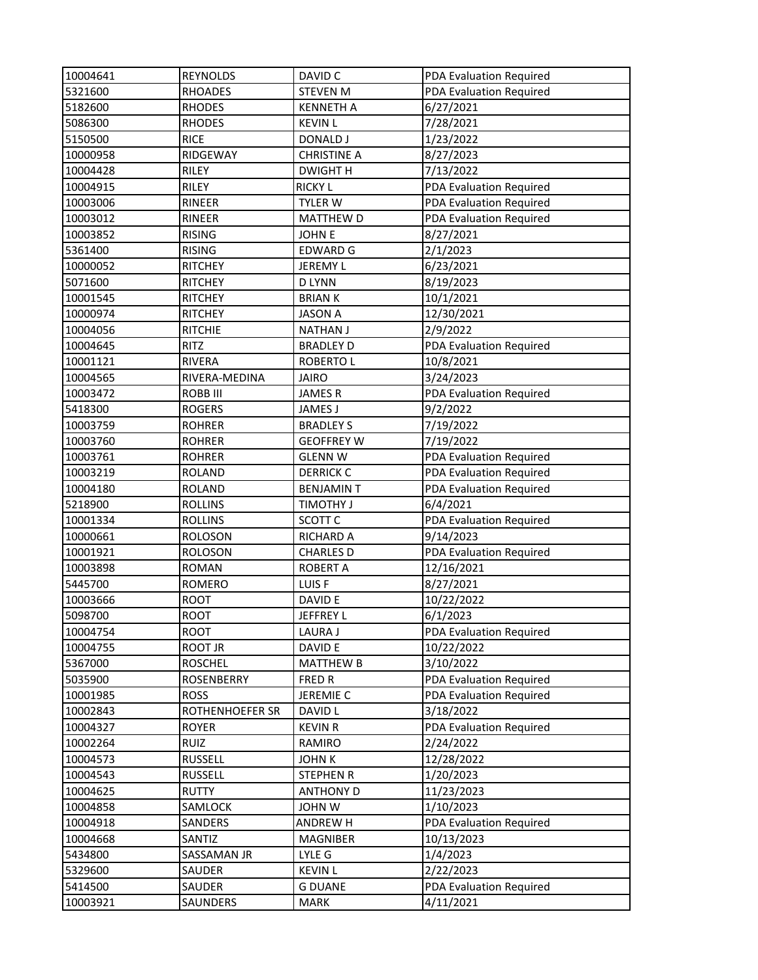| 10004641 | <b>REYNOLDS</b> | DAVID C            | PDA Evaluation Required |
|----------|-----------------|--------------------|-------------------------|
| 5321600  | <b>RHOADES</b>  | <b>STEVEN M</b>    | PDA Evaluation Required |
| 5182600  | <b>RHODES</b>   | <b>KENNETH A</b>   | 6/27/2021               |
| 5086300  | <b>RHODES</b>   | <b>KEVIN L</b>     | 7/28/2021               |
| 5150500  | <b>RICE</b>     | DONALD J           | 1/23/2022               |
| 10000958 | RIDGEWAY        | <b>CHRISTINE A</b> | 8/27/2023               |
| 10004428 | RILEY           | <b>DWIGHTH</b>     | 7/13/2022               |
| 10004915 | RILEY           | <b>RICKY L</b>     | PDA Evaluation Required |
| 10003006 | RINEER          | <b>TYLER W</b>     | PDA Evaluation Required |
| 10003012 | RINEER          | <b>MATTHEW D</b>   | PDA Evaluation Required |
| 10003852 | <b>RISING</b>   | <b>JOHN E</b>      | 8/27/2021               |
| 5361400  | <b>RISING</b>   | <b>EDWARD G</b>    | 2/1/2023                |
| 10000052 | <b>RITCHEY</b>  | JEREMY L           | 6/23/2021               |
| 5071600  | <b>RITCHEY</b>  | <b>D LYNN</b>      | 8/19/2023               |
| 10001545 | <b>RITCHEY</b>  | <b>BRIANK</b>      | 10/1/2021               |
| 10000974 | <b>RITCHEY</b>  | <b>JASON A</b>     | 12/30/2021              |
| 10004056 | <b>RITCHIE</b>  | <b>NATHAN J</b>    | 2/9/2022                |
| 10004645 | <b>RITZ</b>     | <b>BRADLEY D</b>   | PDA Evaluation Required |
| 10001121 | <b>RIVERA</b>   | <b>ROBERTO L</b>   | 10/8/2021               |
| 10004565 | RIVERA-MEDINA   | <b>JAIRO</b>       | 3/24/2023               |
| 10003472 | ROBB III        | <b>JAMESR</b>      | PDA Evaluation Required |
| 5418300  | <b>ROGERS</b>   | <b>JAMES J</b>     | 9/2/2022                |
| 10003759 | <b>ROHRER</b>   | <b>BRADLEY S</b>   | 7/19/2022               |
| 10003760 | <b>ROHRER</b>   | <b>GEOFFREY W</b>  | 7/19/2022               |
| 10003761 | <b>ROHRER</b>   | <b>GLENN W</b>     | PDA Evaluation Required |
| 10003219 | <b>ROLAND</b>   | <b>DERRICK C</b>   | PDA Evaluation Required |
| 10004180 | <b>ROLAND</b>   | <b>BENJAMIN T</b>  | PDA Evaluation Required |
| 5218900  | <b>ROLLINS</b>  | <b>TIMOTHY J</b>   | 6/4/2021                |
| 10001334 | <b>ROLLINS</b>  | SCOTT <sub>C</sub> | PDA Evaluation Required |
| 10000661 | <b>ROLOSON</b>  | <b>RICHARD A</b>   | 9/14/2023               |
| 10001921 | <b>ROLOSON</b>  | <b>CHARLES D</b>   | PDA Evaluation Required |
| 10003898 | <b>ROMAN</b>    | <b>ROBERT A</b>    | 12/16/2021              |
| 5445700  | <b>ROMERO</b>   | LUIS F             | 8/27/2021               |
| 10003666 | <b>ROOT</b>     | DAVID E            | 10/22/2022              |
| 5098700  | <b>ROOT</b>     | <b>JEFFREY L</b>   | 6/1/2023                |
| 10004754 | <b>ROOT</b>     | <b>LAURA J</b>     | PDA Evaluation Required |
| 10004755 | ROOT JR         | DAVID E            | 10/22/2022              |
| 5367000  | <b>ROSCHEL</b>  | <b>MATTHEW B</b>   | 3/10/2022               |
| 5035900  | ROSENBERRY      | <b>FRED R</b>      | PDA Evaluation Required |
| 10001985 | <b>ROSS</b>     | JEREMIE C          | PDA Evaluation Required |
| 10002843 | ROTHENHOEFER SR | <b>DAVID L</b>     | 3/18/2022               |
| 10004327 | <b>ROYER</b>    | <b>KEVIN R</b>     | PDA Evaluation Required |
| 10002264 | RUIZ            | RAMIRO             | 2/24/2022               |
| 10004573 | <b>RUSSELL</b>  | <b>JOHN K</b>      | 12/28/2022              |
| 10004543 | <b>RUSSELL</b>  | <b>STEPHEN R</b>   | 1/20/2023               |
| 10004625 | <b>RUTTY</b>    | <b>ANTHONY D</b>   | 11/23/2023              |
| 10004858 | SAMLOCK         | <b>JOHN W</b>      | 1/10/2023               |
| 10004918 | SANDERS         | ANDREW H           | PDA Evaluation Required |
| 10004668 | SANTIZ          | MAGNIBER           | 10/13/2023              |
| 5434800  | SASSAMAN JR     | LYLE G             | 1/4/2023                |
| 5329600  | SAUDER          | <b>KEVIN L</b>     | 2/22/2023               |
| 5414500  | SAUDER          | <b>G DUANE</b>     | PDA Evaluation Required |
| 10003921 | SAUNDERS        | <b>MARK</b>        | 4/11/2021               |
|          |                 |                    |                         |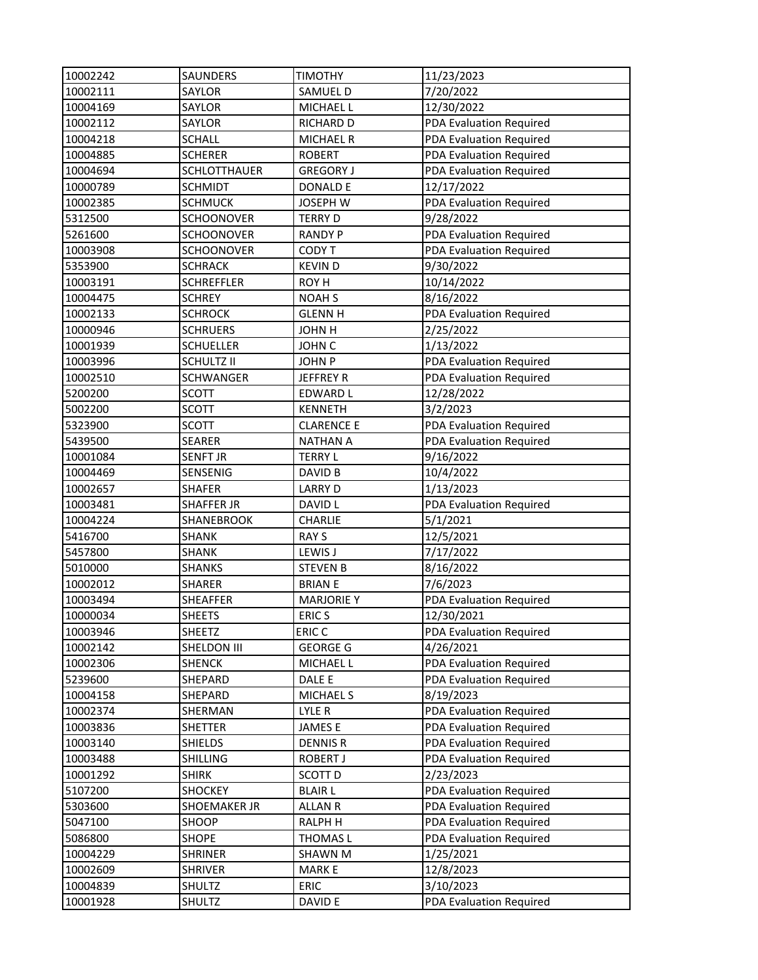| 10002242 | SAUNDERS            | <b>TIMOTHY</b>    | 11/23/2023              |
|----------|---------------------|-------------------|-------------------------|
| 10002111 | SAYLOR              | SAMUEL D          | 7/20/2022               |
| 10004169 | SAYLOR              | MICHAEL L         | 12/30/2022              |
| 10002112 | SAYLOR              | <b>RICHARD D</b>  | PDA Evaluation Required |
| 10004218 | <b>SCHALL</b>       | <b>MICHAEL R</b>  | PDA Evaluation Required |
| 10004885 | <b>SCHERER</b>      | <b>ROBERT</b>     | PDA Evaluation Required |
| 10004694 | <b>SCHLOTTHAUER</b> | <b>GREGORY J</b>  | PDA Evaluation Required |
| 10000789 | <b>SCHMIDT</b>      | <b>DONALD E</b>   | 12/17/2022              |
| 10002385 | <b>SCHMUCK</b>      | <b>JOSEPH W</b>   | PDA Evaluation Required |
| 5312500  | <b>SCHOONOVER</b>   | <b>TERRY D</b>    | 9/28/2022               |
| 5261600  | <b>SCHOONOVER</b>   | <b>RANDY P</b>    | PDA Evaluation Required |
| 10003908 | <b>SCHOONOVER</b>   | CODY T            | PDA Evaluation Required |
| 5353900  | <b>SCHRACK</b>      | <b>KEVIND</b>     | 9/30/2022               |
| 10003191 | <b>SCHREFFLER</b>   | ROY H             | 10/14/2022              |
| 10004475 | <b>SCHREY</b>       | <b>NOAH S</b>     | 8/16/2022               |
| 10002133 | <b>SCHROCK</b>      | <b>GLENN H</b>    | PDA Evaluation Required |
| 10000946 | <b>SCHRUERS</b>     | <b>JOHN H</b>     | 2/25/2022               |
| 10001939 | <b>SCHUELLER</b>    | JOHN C            | 1/13/2022               |
| 10003996 | <b>SCHULTZ II</b>   | <b>JOHN P</b>     | PDA Evaluation Required |
| 10002510 | <b>SCHWANGER</b>    | <b>JEFFREY R</b>  | PDA Evaluation Required |
| 5200200  | <b>SCOTT</b>        | <b>EDWARD L</b>   | 12/28/2022              |
| 5002200  | <b>SCOTT</b>        | <b>KENNETH</b>    | 3/2/2023                |
| 5323900  | <b>SCOTT</b>        | <b>CLARENCE E</b> | PDA Evaluation Required |
| 5439500  | <b>SEARER</b>       | <b>NATHAN A</b>   | PDA Evaluation Required |
| 10001084 | <b>SENFT JR</b>     | <b>TERRY L</b>    | 9/16/2022               |
| 10004469 | SENSENIG            | DAVID B           | 10/4/2022               |
| 10002657 | <b>SHAFER</b>       | <b>LARRY D</b>    | 1/13/2023               |
| 10003481 | <b>SHAFFER JR</b>   | DAVID L           | PDA Evaluation Required |
| 10004224 | SHANEBROOK          | <b>CHARLIE</b>    | 5/1/2021                |
| 5416700  | <b>SHANK</b>        | <b>RAY S</b>      | 12/5/2021               |
| 5457800  | <b>SHANK</b>        | LEWIS J           | 7/17/2022               |
| 5010000  | <b>SHANKS</b>       | <b>STEVEN B</b>   | 8/16/2022               |
| 10002012 | <b>SHARER</b>       | <b>BRIAN E</b>    | 7/6/2023                |
| 10003494 | SHEAFFER            | <b>MARJORIE Y</b> | PDA Evaluation Required |
| 10000034 | <b>SHEETS</b>       | <b>ERICS</b>      | 12/30/2021              |
| 10003946 | SHEETZ              | ERIC <sub>C</sub> | PDA Evaluation Required |
| 10002142 | SHELDON III         | <b>GEORGE G</b>   | 4/26/2021               |
| 10002306 | <b>SHENCK</b>       | MICHAEL L         | PDA Evaluation Required |
| 5239600  | SHEPARD             | DALE E            | PDA Evaluation Required |
| 10004158 | SHEPARD             | <b>MICHAEL S</b>  | 8/19/2023               |
| 10002374 | SHERMAN             | LYLE R            | PDA Evaluation Required |
| 10003836 | SHETTER             | <b>JAMESE</b>     | PDA Evaluation Required |
| 10003140 | <b>SHIELDS</b>      | <b>DENNIS R</b>   | PDA Evaluation Required |
| 10003488 | <b>SHILLING</b>     | ROBERT J          | PDA Evaluation Required |
| 10001292 | <b>SHIRK</b>        | SCOTT D           | 2/23/2023               |
| 5107200  | <b>SHOCKEY</b>      | <b>BLAIR L</b>    | PDA Evaluation Required |
| 5303600  | SHOEMAKER JR        | <b>ALLAN R</b>    | PDA Evaluation Required |
| 5047100  | SHOOP               | <b>RALPH H</b>    | PDA Evaluation Required |
| 5086800  | <b>SHOPE</b>        | THOMAS L          | PDA Evaluation Required |
| 10004229 | <b>SHRINER</b>      | SHAWN M           | 1/25/2021               |
| 10002609 | <b>SHRIVER</b>      | <b>MARKE</b>      | 12/8/2023               |
| 10004839 | SHULTZ              | ERIC              | 3/10/2023               |
| 10001928 | SHULTZ              | DAVID E           | PDA Evaluation Required |
|          |                     |                   |                         |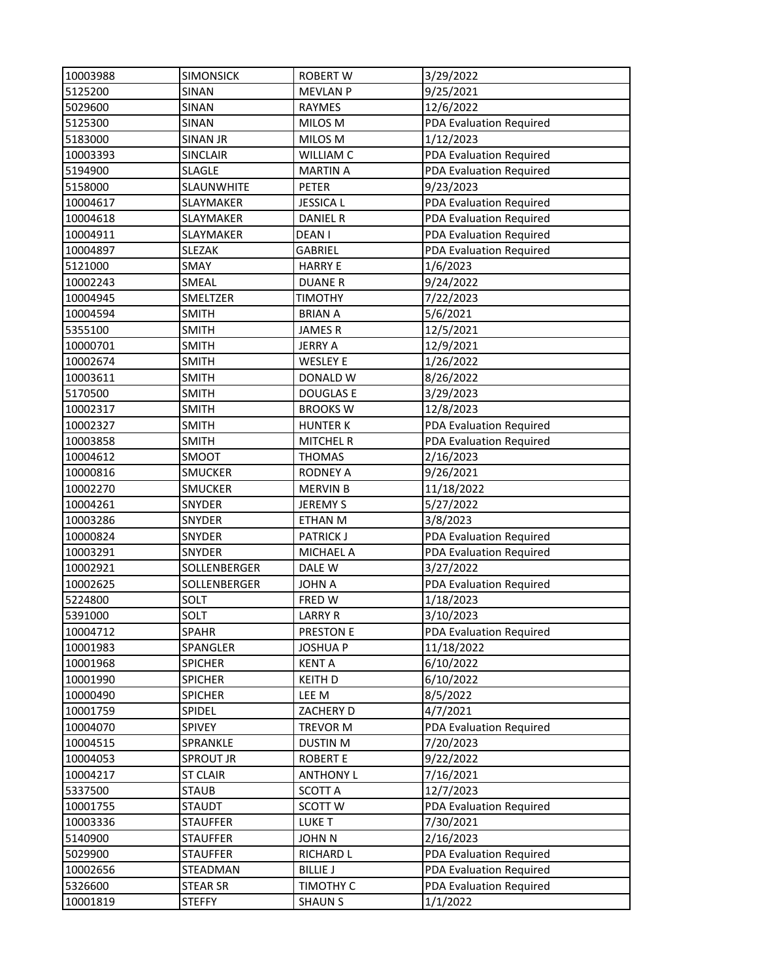| 10003988 | <b>SIMONSICK</b>  | <b>ROBERT W</b>  | 3/29/2022               |
|----------|-------------------|------------------|-------------------------|
| 5125200  | SINAN             | <b>MEVLAN P</b>  | 9/25/2021               |
| 5029600  | SINAN             | RAYMES           | 12/6/2022               |
| 5125300  | SINAN             | MILOS M          | PDA Evaluation Required |
| 5183000  | <b>SINAN JR</b>   | MILOS M          | 1/12/2023               |
| 10003393 | <b>SINCLAIR</b>   | <b>WILLIAM C</b> | PDA Evaluation Required |
| 5194900  | <b>SLAGLE</b>     | <b>MARTIN A</b>  | PDA Evaluation Required |
| 5158000  | <b>SLAUNWHITE</b> | PETER            | 9/23/2023               |
| 10004617 | SLAYMAKER         | <b>JESSICAL</b>  | PDA Evaluation Required |
| 10004618 | SLAYMAKER         | <b>DANIEL R</b>  | PDA Evaluation Required |
| 10004911 | SLAYMAKER         | DEAN I           | PDA Evaluation Required |
| 10004897 | <b>SLEZAK</b>     | GABRIEL          | PDA Evaluation Required |
| 5121000  | SMAY              | <b>HARRY E</b>   | 1/6/2023                |
| 10002243 | SMEAL             | <b>DUANER</b>    | 9/24/2022               |
| 10004945 | SMELTZER          | TIMOTHY          | 7/22/2023               |
| 10004594 | <b>SMITH</b>      | <b>BRIAN A</b>   | 5/6/2021                |
| 5355100  | <b>SMITH</b>      | <b>JAMESR</b>    | 12/5/2021               |
| 10000701 | <b>SMITH</b>      | <b>JERRY A</b>   | 12/9/2021               |
| 10002674 | <b>SMITH</b>      | <b>WESLEY E</b>  | 1/26/2022               |
| 10003611 | <b>SMITH</b>      | DONALD W         | 8/26/2022               |
| 5170500  | <b>SMITH</b>      | <b>DOUGLAS E</b> | 3/29/2023               |
| 10002317 | <b>SMITH</b>      | <b>BROOKS W</b>  | 12/8/2023               |
| 10002327 | <b>SMITH</b>      | <b>HUNTER K</b>  | PDA Evaluation Required |
| 10003858 | <b>SMITH</b>      | <b>MITCHEL R</b> | PDA Evaluation Required |
| 10004612 | SMOOT             | <b>THOMAS</b>    | 2/16/2023               |
| 10000816 | <b>SMUCKER</b>    | <b>RODNEY A</b>  | 9/26/2021               |
| 10002270 | <b>SMUCKER</b>    | <b>MERVIN B</b>  | 11/18/2022              |
| 10004261 | SNYDER            | JEREMY S         | 5/27/2022               |
| 10003286 | <b>SNYDER</b>     | ETHAN M          | 3/8/2023                |
| 10000824 | SNYDER            | <b>PATRICK J</b> | PDA Evaluation Required |
| 10003291 | SNYDER            | <b>MICHAEL A</b> | PDA Evaluation Required |
| 10002921 | SOLLENBERGER      | DALE W           | 3/27/2022               |
| 10002625 | SOLLENBERGER      | <b>JOHN A</b>    | PDA Evaluation Required |
| 5224800  | SOLT              | FRED W           | 1/18/2023               |
| 5391000  | SOLT              | <b>LARRY R</b>   | 3/10/2023               |
| 10004712 | <b>SPAHR</b>      | PRESTON E        | PDA Evaluation Required |
| 10001983 | SPANGLER          | <b>JOSHUA P</b>  | 11/18/2022              |
| 10001968 | <b>SPICHER</b>    | <b>KENTA</b>     | 6/10/2022               |
| 10001990 | <b>SPICHER</b>    | <b>KEITH D</b>   | 6/10/2022               |
| 10000490 | <b>SPICHER</b>    | LEE M            | 8/5/2022                |
| 10001759 | SPIDEL            | ZACHERY D        | 4/7/2021                |
| 10004070 | SPIVEY            | TREVOR M         | PDA Evaluation Required |
| 10004515 | SPRANKLE          | <b>DUSTIN M</b>  | 7/20/2023               |
| 10004053 | <b>SPROUT JR</b>  | <b>ROBERT E</b>  | 9/22/2022               |
| 10004217 | <b>ST CLAIR</b>   | <b>ANTHONY L</b> | 7/16/2021               |
| 5337500  | <b>STAUB</b>      | <b>SCOTT A</b>   | 12/7/2023               |
| 10001755 | <b>STAUDT</b>     | SCOTT W          | PDA Evaluation Required |
| 10003336 | <b>STAUFFER</b>   | <b>LUKE T</b>    | 7/30/2021               |
| 5140900  | <b>STAUFFER</b>   | <b>JOHN N</b>    | 2/16/2023               |
| 5029900  | <b>STAUFFER</b>   | <b>RICHARD L</b> | PDA Evaluation Required |
| 10002656 | STEADMAN          | <b>BILLIE J</b>  | PDA Evaluation Required |
| 5326600  | <b>STEAR SR</b>   | TIMOTHY C        | PDA Evaluation Required |
| 10001819 | <b>STEFFY</b>     | <b>SHAUN S</b>   | 1/1/2022                |
|          |                   |                  |                         |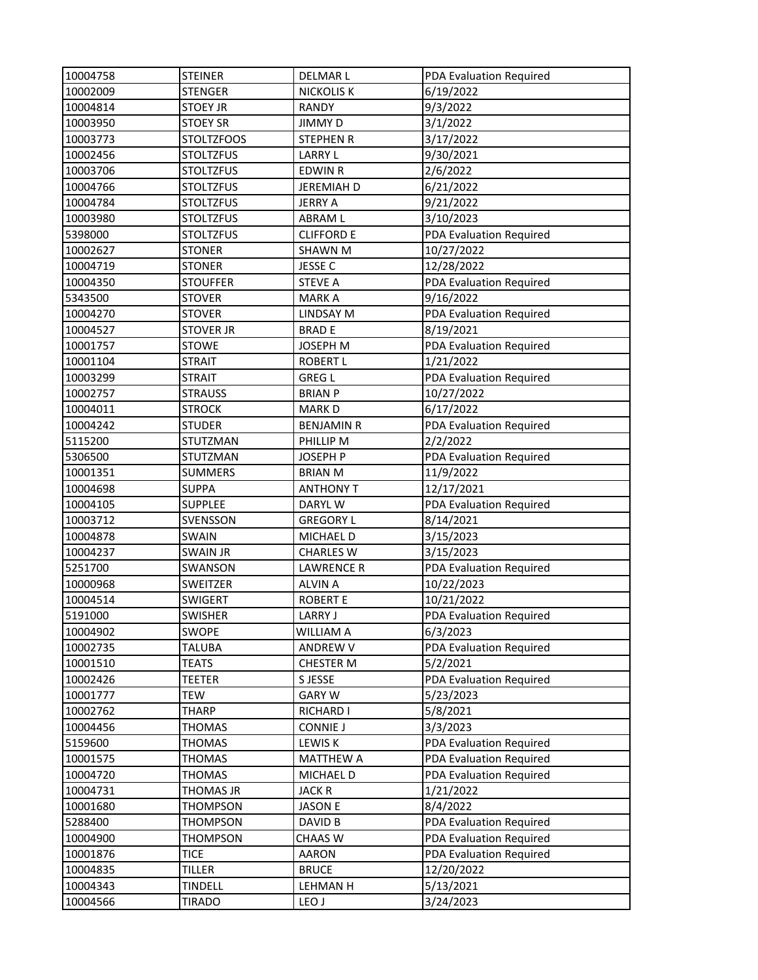| 10004758 | <b>STEINER</b>    | <b>DELMARL</b>    | PDA Evaluation Required |
|----------|-------------------|-------------------|-------------------------|
| 10002009 | <b>STENGER</b>    | <b>NICKOLIS K</b> | 6/19/2022               |
| 10004814 | <b>STOEY JR</b>   | <b>RANDY</b>      | 9/3/2022                |
| 10003950 | <b>STOEY SR</b>   | <b>JIMMYD</b>     | 3/1/2022                |
| 10003773 | <b>STOLTZFOOS</b> | <b>STEPHEN R</b>  | 3/17/2022               |
| 10002456 | <b>STOLTZFUS</b>  | <b>LARRY L</b>    | 9/30/2021               |
| 10003706 | <b>STOLTZFUS</b>  | <b>EDWIN R</b>    | 2/6/2022                |
| 10004766 | <b>STOLTZFUS</b>  | <b>JEREMIAH D</b> | 6/21/2022               |
| 10004784 | <b>STOLTZFUS</b>  | <b>JERRY A</b>    | 9/21/2022               |
| 10003980 | <b>STOLTZFUS</b>  | <b>ABRAML</b>     | 3/10/2023               |
| 5398000  | <b>STOLTZFUS</b>  | <b>CLIFFORD E</b> | PDA Evaluation Required |
| 10002627 | <b>STONER</b>     | <b>SHAWN M</b>    | 10/27/2022              |
| 10004719 | <b>STONER</b>     | JESSE C           | 12/28/2022              |
| 10004350 | <b>STOUFFER</b>   | <b>STEVE A</b>    | PDA Evaluation Required |
| 5343500  | <b>STOVER</b>     | <b>MARK A</b>     | 9/16/2022               |
| 10004270 | <b>STOVER</b>     | LINDSAY M         | PDA Evaluation Required |
| 10004527 | <b>STOVER JR</b>  | <b>BRADE</b>      | 8/19/2021               |
| 10001757 | <b>STOWE</b>      | <b>JOSEPH M</b>   | PDA Evaluation Required |
| 10001104 | <b>STRAIT</b>     | <b>ROBERT L</b>   | 1/21/2022               |
| 10003299 | <b>STRAIT</b>     | <b>GREG L</b>     | PDA Evaluation Required |
| 10002757 | <b>STRAUSS</b>    | <b>BRIAN P</b>    | 10/27/2022              |
| 10004011 | <b>STROCK</b>     | <b>MARKD</b>      | 6/17/2022               |
| 10004242 | <b>STUDER</b>     | <b>BENJAMIN R</b> | PDA Evaluation Required |
| 5115200  | <b>STUTZMAN</b>   | PHILLIP M         | 2/2/2022                |
| 5306500  | STUTZMAN          | <b>JOSEPH P</b>   | PDA Evaluation Required |
| 10001351 | <b>SUMMERS</b>    | <b>BRIAN M</b>    | 11/9/2022               |
| 10004698 | <b>SUPPA</b>      | <b>ANTHONY T</b>  | 12/17/2021              |
| 10004105 | <b>SUPPLEE</b>    | DARYL W           | PDA Evaluation Required |
| 10003712 | SVENSSON          | <b>GREGORY L</b>  | 8/14/2021               |
| 10004878 | <b>SWAIN</b>      | MICHAEL D         | 3/15/2023               |
| 10004237 | <b>SWAIN JR</b>   | <b>CHARLES W</b>  | 3/15/2023               |
| 5251700  | SWANSON           | <b>LAWRENCE R</b> | PDA Evaluation Required |
| 10000968 | SWEITZER          | <b>ALVIN A</b>    | 10/22/2023              |
| 10004514 | SWIGERT           | <b>ROBERT E</b>   | 10/21/2022              |
| 5191000  | <b>SWISHER</b>    | <b>LARRY J</b>    | PDA Evaluation Required |
| 10004902 | SWOPE             | WILLIAM A         | 6/3/2023                |
| 10002735 | <b>TALUBA</b>     | ANDREW V          | PDA Evaluation Required |
| 10001510 | <b>TEATS</b>      | CHESTER M         | 5/2/2021                |
| 10002426 | <b>TEETER</b>     | S JESSE           | PDA Evaluation Required |
| 10001777 | TEW               | <b>GARY W</b>     | 5/23/2023               |
| 10002762 | <b>THARP</b>      | RICHARD I         | 5/8/2021                |
| 10004456 | <b>THOMAS</b>     | <b>CONNIE J</b>   | 3/3/2023                |
| 5159600  | THOMAS            | LEWIS K           | PDA Evaluation Required |
| 10001575 | <b>THOMAS</b>     | <b>MATTHEW A</b>  | PDA Evaluation Required |
| 10004720 | <b>THOMAS</b>     | MICHAEL D         | PDA Evaluation Required |
| 10004731 | THOMAS JR         | <b>JACK R</b>     | 1/21/2022               |
| 10001680 | <b>THOMPSON</b>   | <b>JASON E</b>    | 8/4/2022                |
| 5288400  | <b>THOMPSON</b>   | DAVID B           | PDA Evaluation Required |
| 10004900 | <b>THOMPSON</b>   | CHAAS W           | PDA Evaluation Required |
| 10001876 | <b>TICE</b>       | <b>AARON</b>      | PDA Evaluation Required |
| 10004835 | <b>TILLER</b>     | <b>BRUCE</b>      | 12/20/2022              |
| 10004343 | <b>TINDELL</b>    | LEHMAN H          | 5/13/2021               |
| 10004566 | <b>TIRADO</b>     | LEO J             | 3/24/2023               |
|          |                   |                   |                         |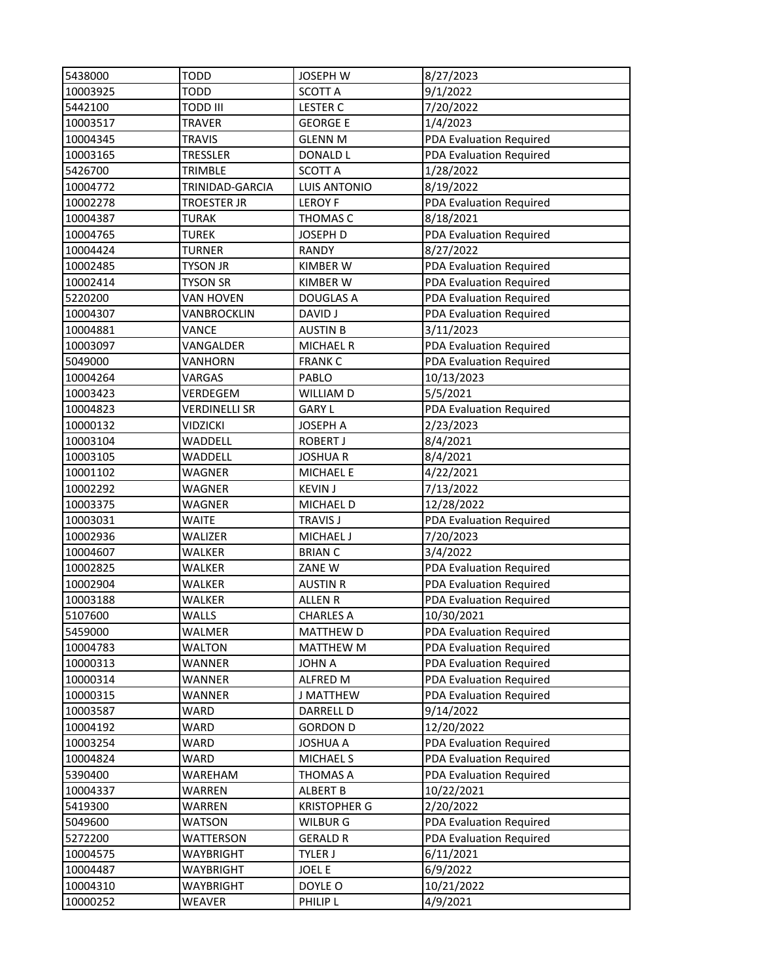| 5438000  | <b>TODD</b>        | <b>JOSEPH W</b>     | 8/27/2023               |
|----------|--------------------|---------------------|-------------------------|
| 10003925 | <b>TODD</b>        | <b>SCOTT A</b>      | 9/1/2022                |
| 5442100  | <b>TODD III</b>    | <b>LESTER C</b>     | 7/20/2022               |
| 10003517 | <b>TRAVER</b>      | <b>GEORGE E</b>     | 1/4/2023                |
| 10004345 | <b>TRAVIS</b>      | <b>GLENN M</b>      | PDA Evaluation Required |
| 10003165 | <b>TRESSLER</b>    | <b>DONALD L</b>     | PDA Evaluation Required |
| 5426700  | TRIMBLE            | <b>SCOTT A</b>      | 1/28/2022               |
| 10004772 | TRINIDAD-GARCIA    | <b>LUIS ANTONIO</b> | 8/19/2022               |
| 10002278 | <b>TROESTER JR</b> | <b>LEROY F</b>      | PDA Evaluation Required |
| 10004387 | <b>TURAK</b>       | THOMAS C            | 8/18/2021               |
| 10004765 | <b>TUREK</b>       | JOSEPH D            | PDA Evaluation Required |
| 10004424 | <b>TURNER</b>      | <b>RANDY</b>        | 8/27/2022               |
| 10002485 | <b>TYSON JR</b>    | <b>KIMBER W</b>     | PDA Evaluation Required |
| 10002414 | <b>TYSON SR</b>    | KIMBER W            | PDA Evaluation Required |
| 5220200  | VAN HOVEN          | <b>DOUGLAS A</b>    | PDA Evaluation Required |
| 10004307 | VANBROCKLIN        | <b>DAVID J</b>      | PDA Evaluation Required |
| 10004881 | VANCE              | <b>AUSTIN B</b>     | 3/11/2023               |
| 10003097 | VANGALDER          | <b>MICHAEL R</b>    | PDA Evaluation Required |
| 5049000  | VANHORN            | <b>FRANK C</b>      | PDA Evaluation Required |
| 10004264 | VARGAS             | PABLO               | 10/13/2023              |
| 10003423 | VERDEGEM           | WILLIAM D           | 5/5/2021                |
| 10004823 | VERDINELLI SR      | <b>GARY L</b>       | PDA Evaluation Required |
| 10000132 | <b>VIDZICKI</b>    | <b>JOSEPH A</b>     | 2/23/2023               |
| 10003104 | WADDELL            | <b>ROBERT J</b>     | 8/4/2021                |
| 10003105 | WADDELL            | <b>JOSHUAR</b>      | 8/4/2021                |
| 10001102 | WAGNER             | <b>MICHAEL E</b>    | 4/22/2021               |
| 10002292 | WAGNER             | <b>KEVIN J</b>      | 7/13/2022               |
| 10003375 | WAGNER             | MICHAEL D           | 12/28/2022              |
| 10003031 | WAITE              | <b>TRAVIS J</b>     | PDA Evaluation Required |
| 10002936 | WALIZER            | MICHAEL J           | 7/20/2023               |
| 10004607 | <b>WALKER</b>      | <b>BRIAN C</b>      | 3/4/2022                |
| 10002825 | WALKER             | ZANE W              | PDA Evaluation Required |
| 10002904 | <b>WALKER</b>      | <b>AUSTIN R</b>     | PDA Evaluation Required |
| 10003188 | WALKER             | <b>ALLEN R</b>      | PDA Evaluation Required |
| 5107600  | <b>WALLS</b>       | <b>CHARLES A</b>    | 10/30/2021              |
| 5459000  | WALMER             | <b>MATTHEW D</b>    | PDA Evaluation Required |
| 10004783 | <b>WALTON</b>      | <b>MATTHEW M</b>    | PDA Evaluation Required |
| 10000313 | <b>WANNER</b>      | <b>JOHN A</b>       | PDA Evaluation Required |
| 10000314 | <b>WANNER</b>      | ALFRED M            | PDA Evaluation Required |
| 10000315 | WANNER             | J MATTHEW           | PDA Evaluation Required |
| 10003587 | WARD               | DARRELL D           | 9/14/2022               |
| 10004192 | WARD               | <b>GORDON D</b>     | 12/20/2022              |
| 10003254 | WARD               | <b>JOSHUA A</b>     | PDA Evaluation Required |
| 10004824 | WARD               | <b>MICHAEL S</b>    | PDA Evaluation Required |
| 5390400  | WAREHAM            | THOMAS A            | PDA Evaluation Required |
| 10004337 | WARREN             | <b>ALBERT B</b>     | 10/22/2021              |
| 5419300  | WARREN             | <b>KRISTOPHER G</b> | 2/20/2022               |
| 5049600  | <b>WATSON</b>      | <b>WILBURG</b>      | PDA Evaluation Required |
| 5272200  | WATTERSON          | <b>GERALD R</b>     | PDA Evaluation Required |
| 10004575 | WAYBRIGHT          | TYLER J             | 6/11/2021               |
| 10004487 | <b>WAYBRIGHT</b>   | <b>JOEL E</b>       | 6/9/2022                |
| 10004310 | <b>WAYBRIGHT</b>   | DOYLE O             | 10/21/2022              |
| 10000252 | WEAVER             | PHILIP L            | 4/9/2021                |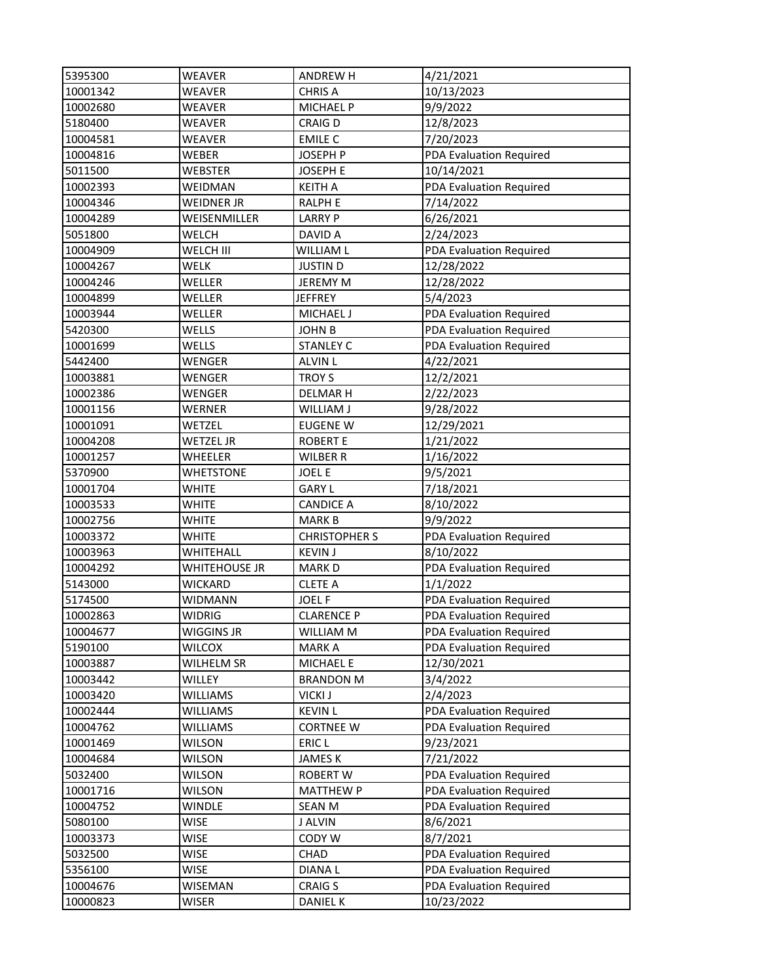| 5395300  | WEAVER            | <b>ANDREW H</b>      | 4/21/2021                      |
|----------|-------------------|----------------------|--------------------------------|
| 10001342 | <b>WEAVER</b>     | <b>CHRIS A</b>       | 10/13/2023                     |
| 10002680 | <b>WEAVER</b>     | MICHAEL P            | 9/9/2022                       |
| 5180400  | WEAVER            | <b>CRAIGD</b>        | 12/8/2023                      |
| 10004581 | WEAVER            | <b>EMILE C</b>       | 7/20/2023                      |
| 10004816 | WEBER             | JOSEPH P             | PDA Evaluation Required        |
| 5011500  | WEBSTER           | <b>JOSEPH E</b>      | 10/14/2021                     |
| 10002393 | WEIDMAN           | <b>KEITH A</b>       | PDA Evaluation Required        |
| 10004346 | <b>WEIDNER JR</b> | <b>RALPH E</b>       | 7/14/2022                      |
| 10004289 | WEISENMILLER      | <b>LARRY P</b>       | 6/26/2021                      |
| 5051800  | WELCH             | DAVID A              | 2/24/2023                      |
| 10004909 | WELCH III         | WILLIAM L            | PDA Evaluation Required        |
| 10004267 | WELK              | <b>JUSTIN D</b>      | 12/28/2022                     |
| 10004246 | WELLER            | <b>JEREMY M</b>      | 12/28/2022                     |
| 10004899 | WELLER            | JEFFREY              | 5/4/2023                       |
| 10003944 | WELLER            | <b>MICHAEL J</b>     | <b>PDA Evaluation Required</b> |
| 5420300  | WELLS             | <b>JOHN B</b>        | PDA Evaluation Required        |
| 10001699 | WELLS             | <b>STANLEY C</b>     | PDA Evaluation Required        |
| 5442400  | WENGER            | <b>ALVIN L</b>       | 4/22/2021                      |
| 10003881 | WENGER            | <b>TROYS</b>         | 12/2/2021                      |
| 10002386 | WENGER            | <b>DELMARH</b>       | 2/22/2023                      |
| 10001156 | WERNER            | WILLIAM J            | 9/28/2022                      |
| 10001091 | WETZEL            | <b>EUGENE W</b>      | 12/29/2021                     |
| 10004208 | WETZEL JR         | <b>ROBERT E</b>      | 1/21/2022                      |
| 10001257 | WHEELER           | <b>WILBER R</b>      | 1/16/2022                      |
| 5370900  | <b>WHETSTONE</b>  | <b>JOEL E</b>        | 9/5/2021                       |
| 10001704 | WHITE             | <b>GARY L</b>        | 7/18/2021                      |
| 10003533 | WHITE             | <b>CANDICE A</b>     | 8/10/2022                      |
| 10002756 | WHITE             | <b>MARK B</b>        | 9/9/2022                       |
| 10003372 | <b>WHITE</b>      | <b>CHRISTOPHER S</b> | PDA Evaluation Required        |
| 10003963 | WHITEHALL         | <b>KEVIN J</b>       | 8/10/2022                      |
| 10004292 | WHITEHOUSE JR     | <b>MARKD</b>         | PDA Evaluation Required        |
| 5143000  | WICKARD           | <b>CLETE A</b>       | 1/1/2022                       |
| 5174500  | WIDMANN           | <b>JOEL F</b>        | PDA Evaluation Required        |
| 10002863 | <b>WIDRIG</b>     | <b>CLARENCE P</b>    | PDA Evaluation Required        |
| 10004677 | WIGGINS JR        | WILLIAM M            | PDA Evaluation Required        |
| 5190100  | WILCOX            | <b>MARKA</b>         | PDA Evaluation Required        |
| 10003887 | WILHELM SR        | MICHAEL E            | 12/30/2021                     |
| 10003442 | WILLEY            | <b>BRANDON M</b>     | 3/4/2022                       |
| 10003420 | <b>WILLIAMS</b>   | <b>VICKI J</b>       | 2/4/2023                       |
| 10002444 | WILLIAMS          | <b>KEVIN L</b>       | PDA Evaluation Required        |
| 10004762 | WILLIAMS          | <b>CORTNEE W</b>     | PDA Evaluation Required        |
| 10001469 | WILSON            | ERIC <sub>L</sub>    | 9/23/2021                      |
| 10004684 | WILSON            | <b>JAMES K</b>       | 7/21/2022                      |
| 5032400  | WILSON            | ROBERT W             | PDA Evaluation Required        |
| 10001716 | WILSON            | <b>MATTHEW P</b>     | PDA Evaluation Required        |
| 10004752 | WINDLE            | SEAN M               | PDA Evaluation Required        |
| 5080100  | <b>WISE</b>       | J ALVIN              | 8/6/2021                       |
| 10003373 | WISE              | CODY W               | 8/7/2021                       |
| 5032500  | WISE              | CHAD                 | PDA Evaluation Required        |
| 5356100  | <b>WISE</b>       | <b>DIANAL</b>        | PDA Evaluation Required        |
| 10004676 | WISEMAN           | <b>CRAIG S</b>       | PDA Evaluation Required        |
| 10000823 | <b>WISER</b>      | <b>DANIEL K</b>      | 10/23/2022                     |
|          |                   |                      |                                |